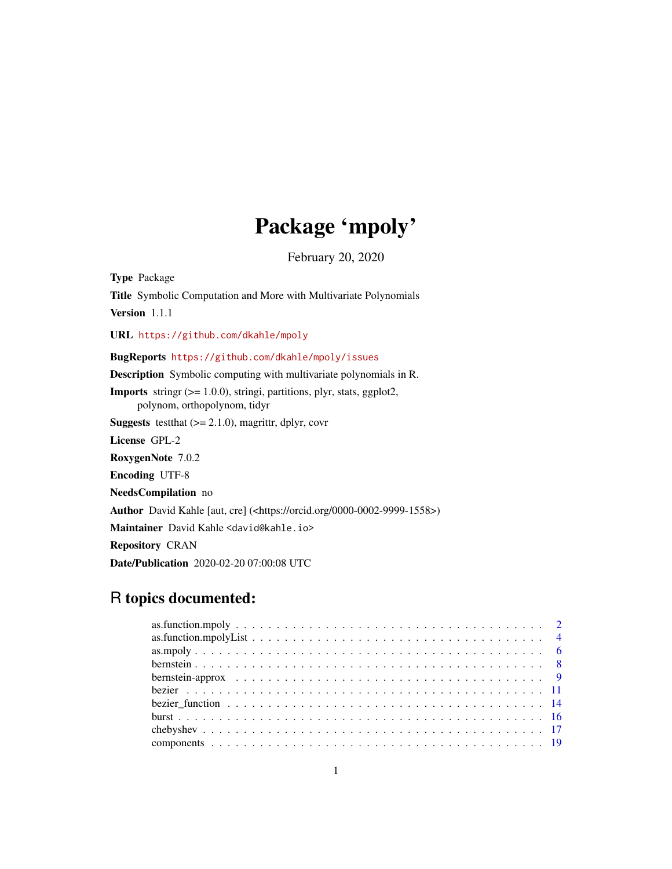# Package 'mpoly'

February 20, 2020

<span id="page-0-0"></span>Type Package Title Symbolic Computation and More with Multivariate Polynomials Version 1.1.1 URL <https://github.com/dkahle/mpoly> BugReports <https://github.com/dkahle/mpoly/issues> Description Symbolic computing with multivariate polynomials in R. Imports stringr (>= 1.0.0), stringi, partitions, plyr, stats, ggplot2, polynom, orthopolynom, tidyr **Suggests** test that  $(>= 2.1.0)$ , magrittr, dplyr, covr License GPL-2 RoxygenNote 7.0.2 Encoding UTF-8 NeedsCompilation no Author David Kahle [aut, cre] (<https://orcid.org/0000-0002-9999-1558>) Maintainer David Kahle <david@kahle.io> Repository CRAN Date/Publication 2020-02-20 07:00:08 UTC

# R topics documented: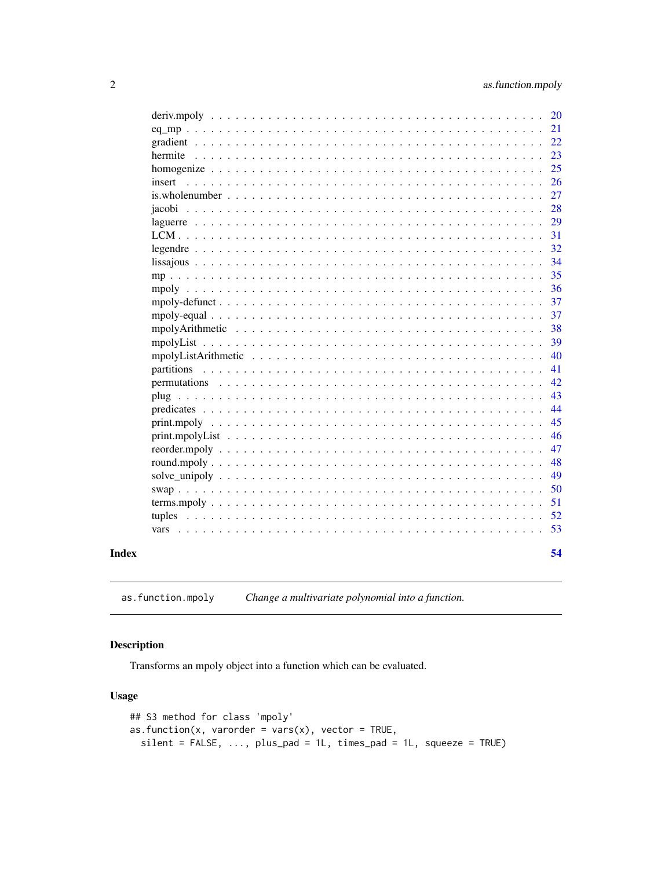<span id="page-1-0"></span>

|                                                                                                                 | <b>20</b> |
|-----------------------------------------------------------------------------------------------------------------|-----------|
|                                                                                                                 | 21        |
|                                                                                                                 | 22        |
|                                                                                                                 |           |
|                                                                                                                 | 23        |
|                                                                                                                 | 25        |
| insert                                                                                                          | 26        |
|                                                                                                                 | 27        |
|                                                                                                                 | 28        |
|                                                                                                                 | 29        |
|                                                                                                                 | 31        |
|                                                                                                                 | 32        |
|                                                                                                                 | 34        |
|                                                                                                                 | 35        |
|                                                                                                                 | 36        |
|                                                                                                                 | 37        |
|                                                                                                                 | 37        |
|                                                                                                                 | 38        |
|                                                                                                                 | 39        |
|                                                                                                                 | 40        |
|                                                                                                                 | 41        |
| permutations                                                                                                    | 42        |
|                                                                                                                 | 43        |
|                                                                                                                 | 44        |
|                                                                                                                 | 45        |
|                                                                                                                 | 46        |
|                                                                                                                 | 47        |
|                                                                                                                 |           |
|                                                                                                                 | 48        |
|                                                                                                                 | 49        |
|                                                                                                                 | 50        |
|                                                                                                                 | 51        |
| tuples                                                                                                          | 52        |
| vars reconomiento de la construcción de la construcción de la construcción de la construcción de la construcció | 53        |
|                                                                                                                 |           |
|                                                                                                                 | 54        |

#### **Index**

as.function.mpoly Change a multivariate polynomial into a function.

# Description

Transforms an mpoly object into a function which can be evaluated.

# **Usage**

```
## S3 method for class 'mpoly'
as. function(x, varorder = vars(x), vector = TRUE,
  silent = FALSE, ..., plus\_pad = 1L, times\_pad = 1L, squeeze = TRUE)
```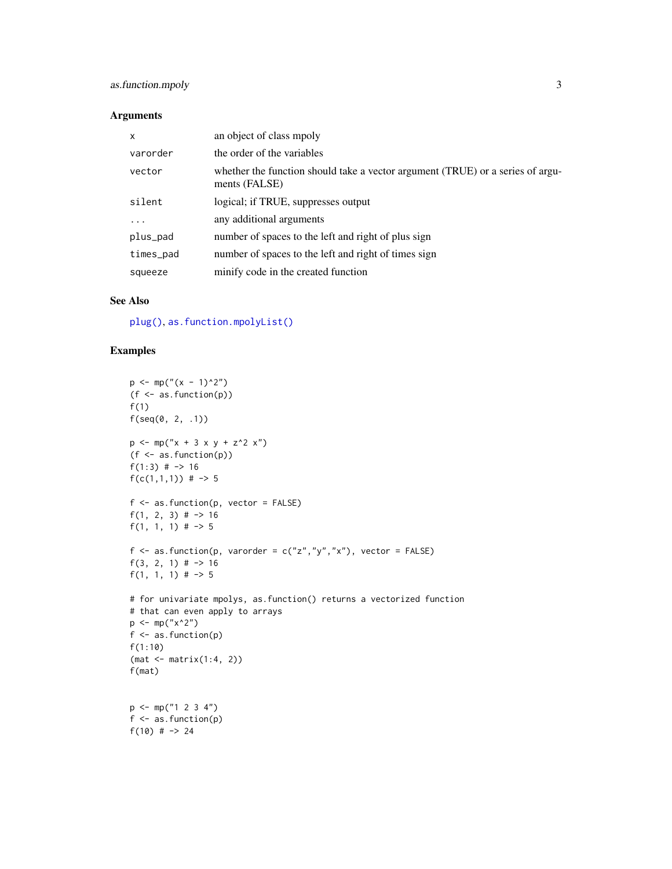# <span id="page-2-0"></span>as.function.mpoly 3

#### Arguments

| $\boldsymbol{\mathsf{x}}$ | an object of class mpoly                                                                        |
|---------------------------|-------------------------------------------------------------------------------------------------|
| varorder                  | the order of the variables                                                                      |
| vector                    | whether the function should take a vector argument (TRUE) or a series of argu-<br>ments (FALSE) |
| silent                    | logical; if TRUE, suppresses output                                                             |
| $\cdots$                  | any additional arguments                                                                        |
| plus_pad                  | number of spaces to the left and right of plus sign                                             |
| times_pad                 | number of spaces to the left and right of times sign                                            |
| squeeze                   | minify code in the created function                                                             |

#### See Also

[plug\(\)](#page-42-1), [as.function.mpolyList\(\)](#page-3-1)

```
p \leftarrow mp("(x - 1)^2")(f \leftarrow as.function(p))f(1)f(\text{seq}(0, 2, .1))p \le m p("x + 3 x y + z^2 x")(f <- as.function(p))
f(1:3) \# -> 16
f(c(1,1,1)) # -> 5
f \leftarrow as . function(p, vector = FALSE)f(1, 2, 3) \# -> 16
f(1, 1, 1) \# -> 5
f <- as.function(p, varorder = c("z", "y", "x"), vector = FALSE)
f(3, 2, 1) # \rightarrow 16
f(1, 1, 1) \# -> 5
# for univariate mpolys, as.function() returns a vectorized function
# that can even apply to arrays
p \le m(p''x^2')f <- as.function(p)
f(1:10)
(mat <- matrix(1:4, 2))
f(mat)
p \leftarrow mp("1 2 3 4")f \leftarrow as . function(p)f(10) # \rightarrow 24
```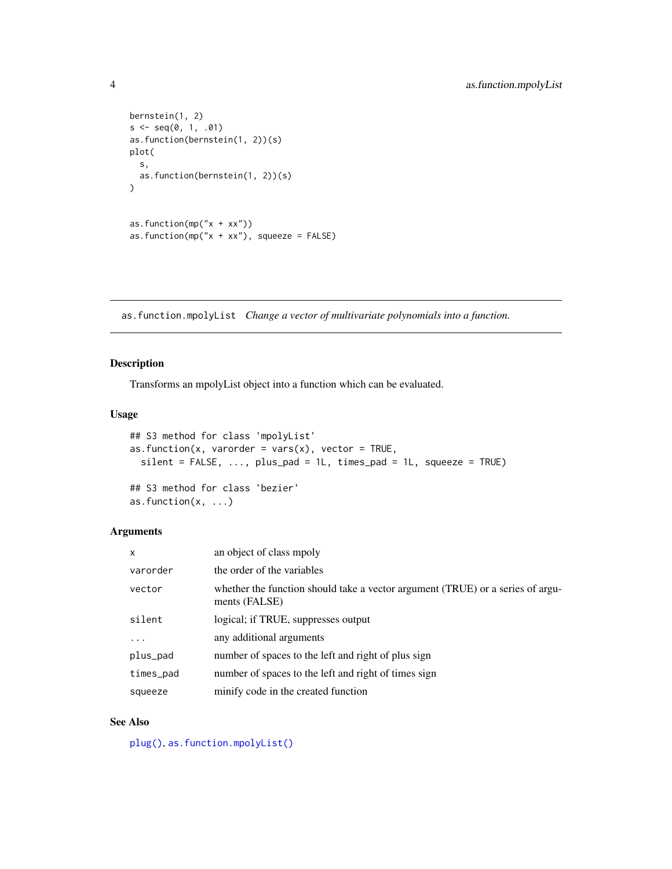```
bernstein(1, 2)
s \leq -seq(0, 1, .01)as.function(bernstein(1, 2))(s)
plot(
  s,
  as.function(bernstein(1, 2))(s)
\mathcal{L}as.function(mp("x + xx"))
as.function(mp("x + xx"), squeeze = FALSE)
```
<span id="page-3-1"></span>as.function.mpolyList *Change a vector of multivariate polynomials into a function.*

# Description

Transforms an mpolyList object into a function which can be evaluated.

#### Usage

```
## S3 method for class 'mpolyList'
as.function(x, varorder = vars(x), vector = TRUE,
  silent = FALSE, ..., plus_pad = 1L, times_pad = 1L, squeeze = TRUE)
## S3 method for class 'bezier'
as.function(x, \ldots)
```
## Arguments

| X         | an object of class mpoly                                                                        |
|-----------|-------------------------------------------------------------------------------------------------|
| varorder  | the order of the variables                                                                      |
| vector    | whether the function should take a vector argument (TRUE) or a series of argu-<br>ments (FALSE) |
| silent    | logical; if TRUE, suppresses output                                                             |
| $\ddots$  | any additional arguments                                                                        |
| plus_pad  | number of spaces to the left and right of plus sign                                             |
| times_pad | number of spaces to the left and right of times sign                                            |
| squeeze   | minify code in the created function                                                             |

# See Also

[plug\(\)](#page-42-1), [as.function.mpolyList\(\)](#page-3-1)

<span id="page-3-0"></span>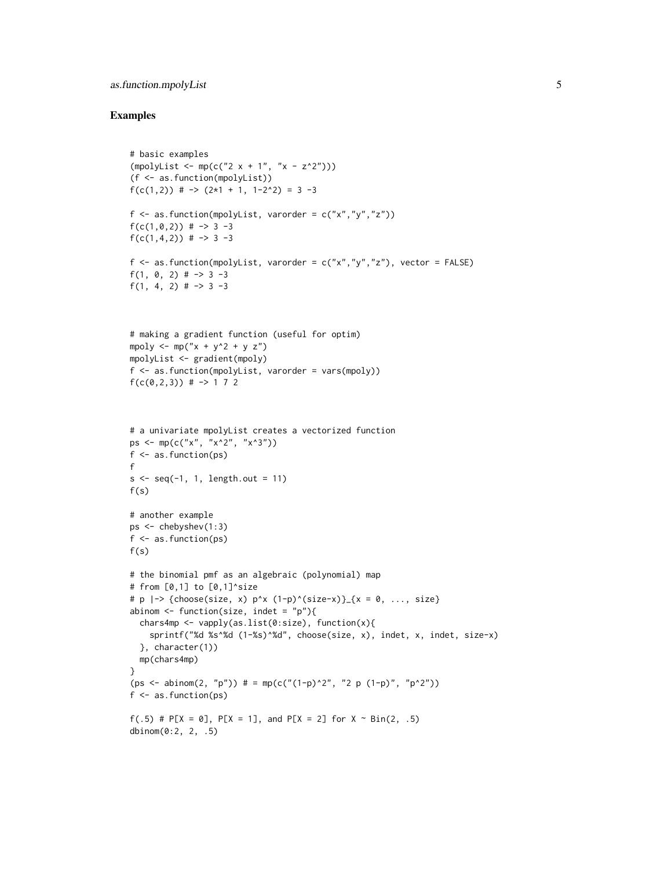#### as.function.mpolyList 5

```
# basic examples
(mpolyList < - mp(c("2 x + 1", "x - z^2")))(f <- as.function(mpolyList))
f(c(1,2)) # \rightarrow (2*1 + 1, 1-2^2) = 3 -3
f \leftarrow as . function (mpolyList, varorder = c("x", "y", "z"))f(c(1, 0, 2)) # -> 3 -3
f(c(1,4,2)) # -> 3 -3
f \leq as.function(mpolyList, varorder = c("x","y","z"), vector = FALSE)
f(1, 0, 2) # \rightarrow 3 -3f(1, 4, 2) \# -> 3 -3
# making a gradient function (useful for optim)
mpoly \leq -mp("x + y^2 + y z")mpolyList <- gradient(mpoly)
f <- as.function(mpolyList, varorder = vars(mpoly))
f(c(0, 2, 3)) # -> 1 7 2
# a univariate mpolyList creates a vectorized function
ps <- mp(c("x", "x^2", "x^3"))
f \leftarrow as.function(ps)f
s \leq -seq(-1, 1, length.out = 11)f(s)# another example
ps <- chebyshev(1:3)
f <- as.function(ps)
f(s)# the binomial pmf as an algebraic (polynomial) map
# from [0,1] to [0,1]^size
# p |-> {choose(size, x) p^x (1-p)^(size-x)}_{x = 0, ..., size}
abinom \leq function(size, indet = "p"){
 chars4mp <- vapply(as.list(0:size), function(x){
    sprintf("%d %s^%d (1-%s)^%d", choose(size, x), indet, x, indet, size-x)
  }, character(1))
  mp(chars4mp)
}
(ps \leq -\text{abinom}(2, "p")) # = mp(c("1-p)^2", "2 p (1-p)", "p^2"))f \leftarrow as.function(ps)f(.5) # P[X = 0], P[X = 1], and P[X = 2] for X \sim Bin(2, .5)dbinom(0:2, 2, .5)
```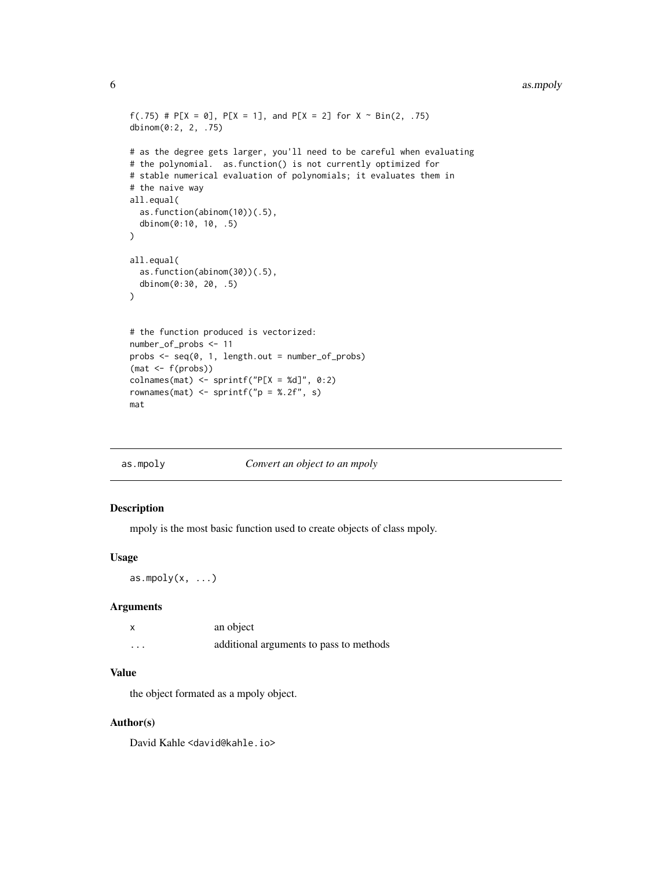#### <span id="page-5-0"></span>6 as.mpoly

```
f(.75) # P[X = 0], P[X = 1], and P[X = 2] for X \sim Bin(2, .75)dbinom(0:2, 2, .75)
# as the degree gets larger, you'll need to be careful when evaluating
# the polynomial. as.function() is not currently optimized for
# stable numerical evaluation of polynomials; it evaluates them in
# the naive way
all.equal(
  as.function(abinom(10))(.5),
  dbinom(0:10, 10, .5)
)
all.equal(
  as.function(abinom(30))(.5),
  dbinom(0:30, 20, .5)
)
# the function produced is vectorized:
number_of_probs <- 11
probs <- seq(0, 1, length.out = number_of_probs)
(mat < -f(probs))colnames(mat) <- sprintf("P[X = Xd]", 0:2)
rownames(mat) <- sprintf("p = 2.2f", s)
mat
```

| as.mpoly | Convert an object to an mpoly |
|----------|-------------------------------|
|          |                               |

# Description

mpoly is the most basic function used to create objects of class mpoly.

#### Usage

as.mpoly $(x, \ldots)$ 

#### Arguments

| X        | an object                               |
|----------|-----------------------------------------|
| $\cdots$ | additional arguments to pass to methods |

# Value

the object formated as a mpoly object.

#### Author(s)

David Kahle <david@kahle.io>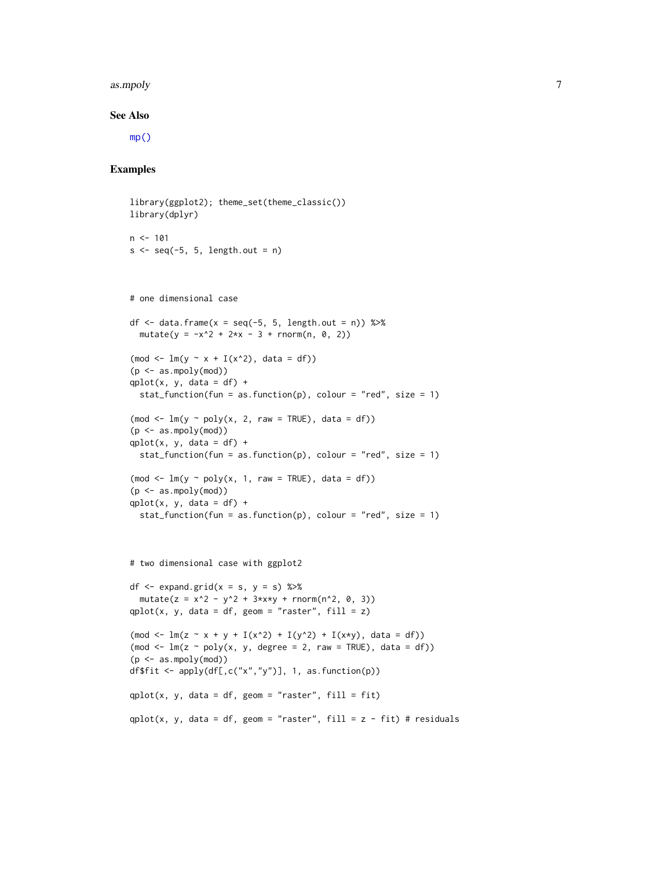#### <span id="page-6-0"></span>as.mpoly 7

#### See Also

[mp\(\)](#page-34-1)

```
library(ggplot2); theme_set(theme_classic())
library(dplyr)
n < -101s \leftarrow seq(-5, 5, length.out = n)# one dimensional case
df \le data.frame(x = seq(-5, 5, length.out = n)) %>%
 mutate(y = -x^2 + 2*x - 3 + rnorm(n, 0, 2))(mod <- ln(y ~ x + I(x^2)), data = df))
(p \leq -as.mpoly(mod))qplot(x, y, data = df) +
 stat_function(fun = as.function(p), colour = "red", size = 1)
(mod < -\ lm(y \sim poly(x, 2, raw = TRUE), data = df))(p \leq -as.mpoly(mod))qplot(x, y, data = df) +
  stat_function(fun = as.function(p), colour = "red", size = 1)
(mod \leq lm(y \sim poly(x, 1, raw = TRUE), data = df))
(p <- as.mpoly(mod))
qplot(x, y, data = df) +stat_function(fun = as.function(p), colour = "red", size = 1)
# two dimensional case with ggplot2
df \leq expand.grid(x = s, y = s) %>%
 mutate(z = x^2 - y^2 + 3 \star x \star y + rnorm(n<sup>2</sup>, 0, 3))
qplot(x, y, data = df, geom = "raster", fill = z)
(mod <- ln(z ~ x + y + I(x^2) + I(y^2) + I(x*y), data = df))(mod \leq \text{lm}(z \sim \text{poly}(x, y, \text{degree} = 2, \text{raw} = \text{TRUE}), data = df))
(p <- as.mpoly(mod))
df$fit <- apply(df[,c("x", "y")], 1, as.function(p))qplot(x, y, data = df, geom = "raster", fill = fit)
qplot(x, y, data = df, geom = "raster", fill = z - fit) # residuals
```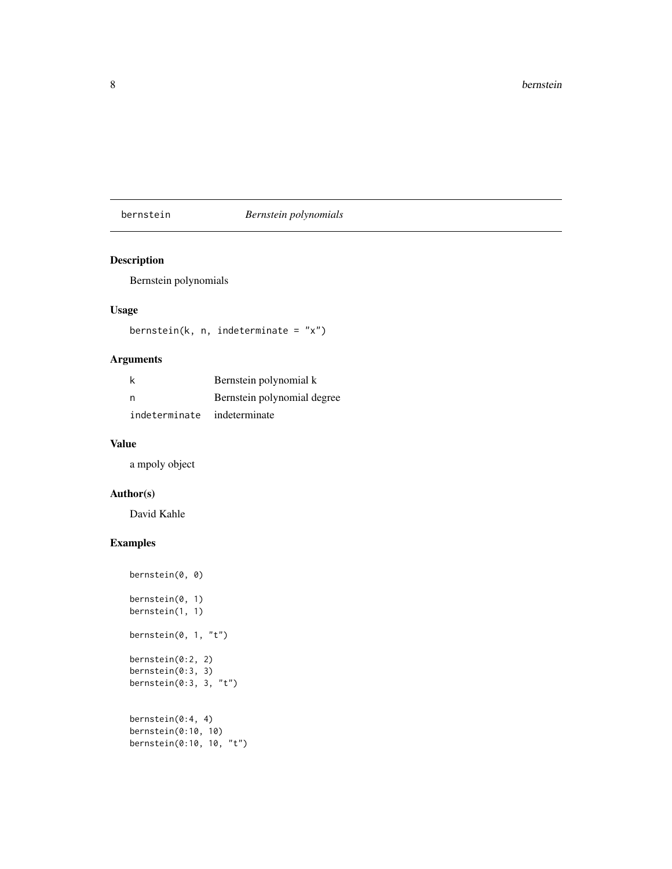# <span id="page-7-0"></span>bernstein *Bernstein polynomials*

# Description

Bernstein polynomials

# Usage

```
bernstein(k, n, indeterminate = "x")
```
# Arguments

|                             | Bernstein polynomial k      |
|-----------------------------|-----------------------------|
| - n                         | Bernstein polynomial degree |
| indeterminate indeterminate |                             |

#### Value

a mpoly object

# Author(s)

David Kahle

```
bernstein(0, 0)
bernstein(0, 1)
bernstein(1, 1)bernstein(0, 1, "t")
bernstein(0:2, 2)
bernstein(0:3, 3)bernstein(0:3, 3, "t")
bernstein(0:4, 4)
bernstein(0:10, 10)
bernstein(0:10, 10, "t")
```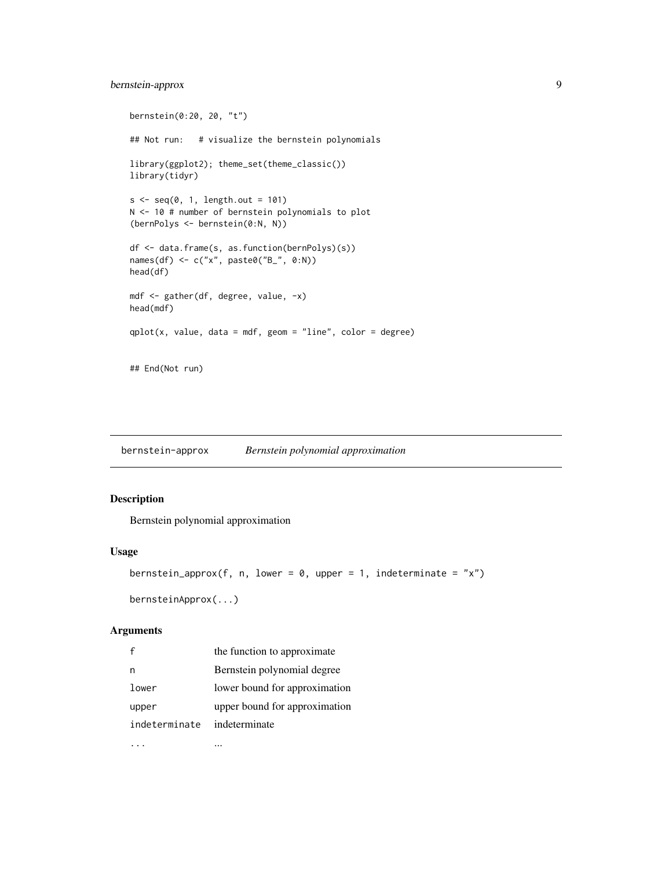# <span id="page-8-0"></span>bernstein-approx 9

```
bernstein(0:20, 20, "t")
## Not run: # visualize the bernstein polynomials
library(ggplot2); theme_set(theme_classic())
library(tidyr)
s \leq seq(0, 1, length.out = 101)N <- 10 # number of bernstein polynomials to plot
(bernPolys <- bernstein(0:N, N))
df <- data.frame(s, as.function(bernPolys)(s))
names(df) <- c("x", paste0("B_", 0:N))
head(df)
mdf <- gather(df, degree, value, -x)
head(mdf)
qplot(x, value, data = mdf, geom = "line", color = degree)## End(Not run)
```
bernstein-approx *Bernstein polynomial approximation*

# Description

Bernstein polynomial approximation

#### Usage

```
bernstein_approx(f, n, lower = 0, upper = 1, indeterminate = "x")
```
bernsteinApprox(...)

#### Arguments

| $\mathsf{f}$  | the function to approximate   |
|---------------|-------------------------------|
| n             | Bernstein polynomial degree   |
| lower         | lower bound for approximation |
| upper         | upper bound for approximation |
| indeterminate | indeterminate                 |
|               |                               |

... ...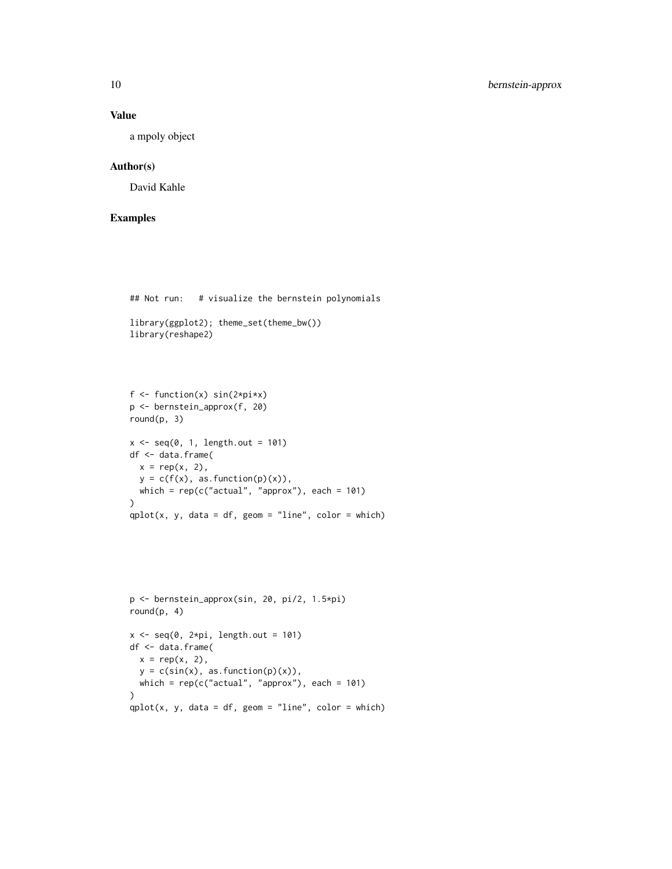#### Value

a mpoly object

# Author(s)

David Kahle

```
## Not run: # visualize the bernstein polynomials
library(ggplot2); theme_set(theme_bw())
library(reshape2)
f \leftarrow function(x) sin(2 \times pi \times x)p <- bernstein_approx(f, 20)
round(p, 3)
x \leftarrow \text{seq}(0, 1, \text{length.out} = 101)df <- data.frame(
 x = rep(x, 2),y = c(f(x), as. function(p)(x)),which = rep(c("actual", "approx"), each = 101)
\mathcal{L}qplot(x, y, data = df, geom = "line", color = which)p <- bernstein_approx(sin, 20, pi/2, 1.5*pi)
round(p, 4)
x \leq -\text{seq}(0, 2*pi, length.out = 101)
```

```
df <- data.frame(
 x = rep(x, 2),y = c(sin(x), as.function(p)(x)),which = rep(c("actual", "approx"), each = 101)
)
qplot(x, y, data = df, geom = "line", color = which)
```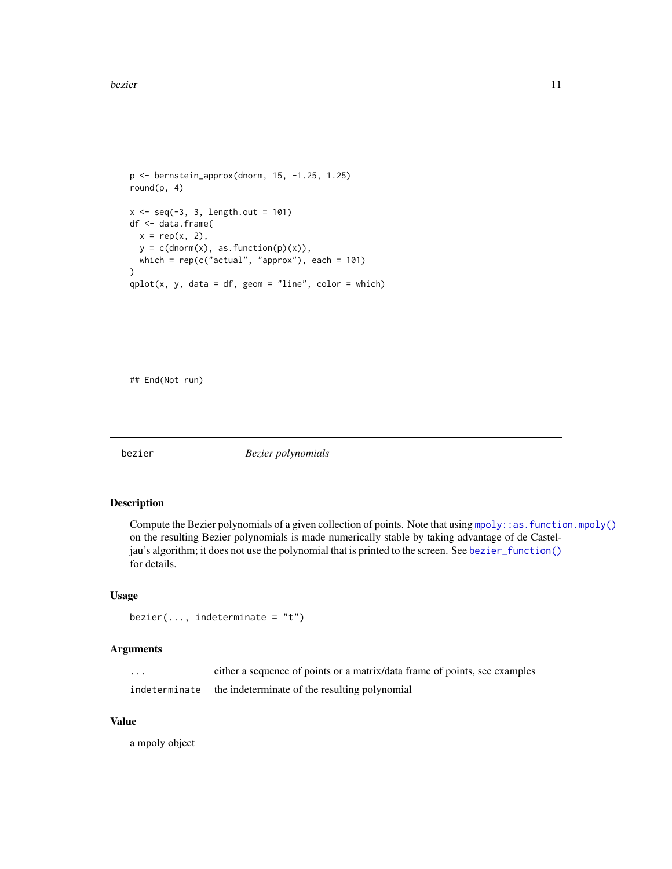```
p <- bernstein_approx(dnorm, 15, -1.25, 1.25)
round(p, 4)
x \leq -\text{seq}(-3, 3, \text{length.out} = 101)df <- data.frame(
  x = rep(x, 2),y = c(dnorm(x), as. function(p)(x)),which = rep(c("actual", "approx"), each = 101)
\overline{\phantom{a}}qplot(x, y, data = df, geom = "line", color = which)
```
## End(Not run)

<span id="page-10-1"></span>bezier *Bezier polynomials*

#### Description

Compute the Bezier polynomials of a given collection of points. Note that using [mpoly::as.function.mpoly\(\)](#page-0-0) on the resulting Bezier polynomials is made numerically stable by taking advantage of de Casteljau's algorithm; it does not use the polynomial that is printed to the screen. See [bezier\\_function\(\)](#page-13-1) for details.

#### Usage

```
bezier(..., indeterminate = "t")
```
#### Arguments

| . | either a sequence of points or a matrix/data frame of points, see examples |
|---|----------------------------------------------------------------------------|
|   | indeterminate the indeterminate of the resulting polynomial                |

#### Value

a mpoly object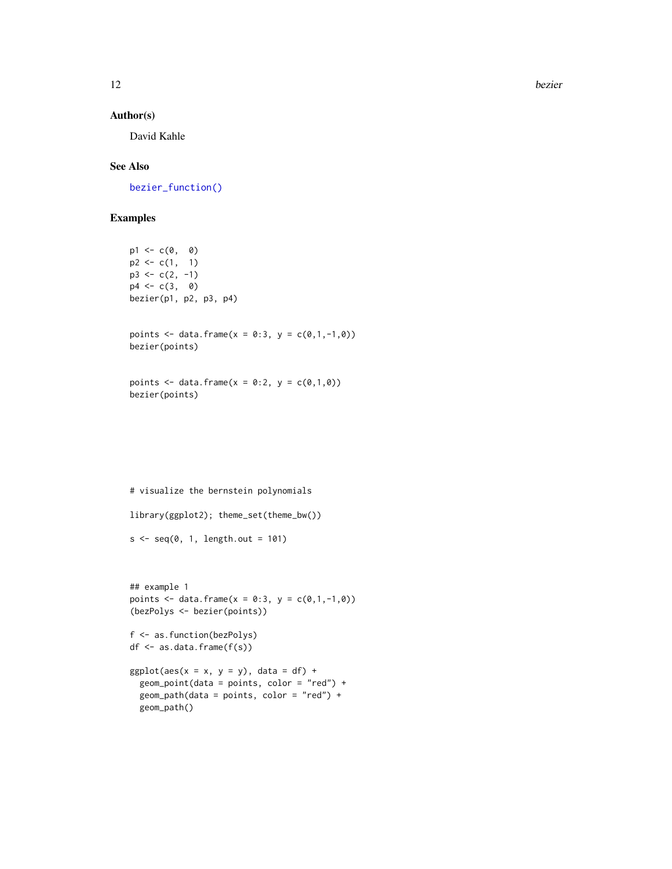12 bezier

#### Author(s)

David Kahle

# See Also

[bezier\\_function\(\)](#page-13-1)

```
p1 \leftarrow c(0, 0)p2 \leq c(1, 1)p3 \leq c(2, -1)p4 \leq c(3, 0)bezier(p1, p2, p3, p4)
points <- data.frame(x = 0:3, y = c(0,1,-1,0))
bezier(points)
points <- data.frame(x = 0:2, y = c(0,1,0))
bezier(points)
# visualize the bernstein polynomials
library(ggplot2); theme_set(theme_bw())
s \leq -seq(0, 1, length.out = 101)## example 1
points <- data.frame(x = 0:3, y = c(0,1,-1,0))
(bezPolys <- bezier(points))
f <- as.function(bezPolys)
df <- as.data.frame(f(s))
ggplot(aes(x = x, y = y), data = df) +
```

```
geom_point(data = points, color = "red") +
geom_path(data = points, color = "red") +
geom_path()
```
<span id="page-11-0"></span>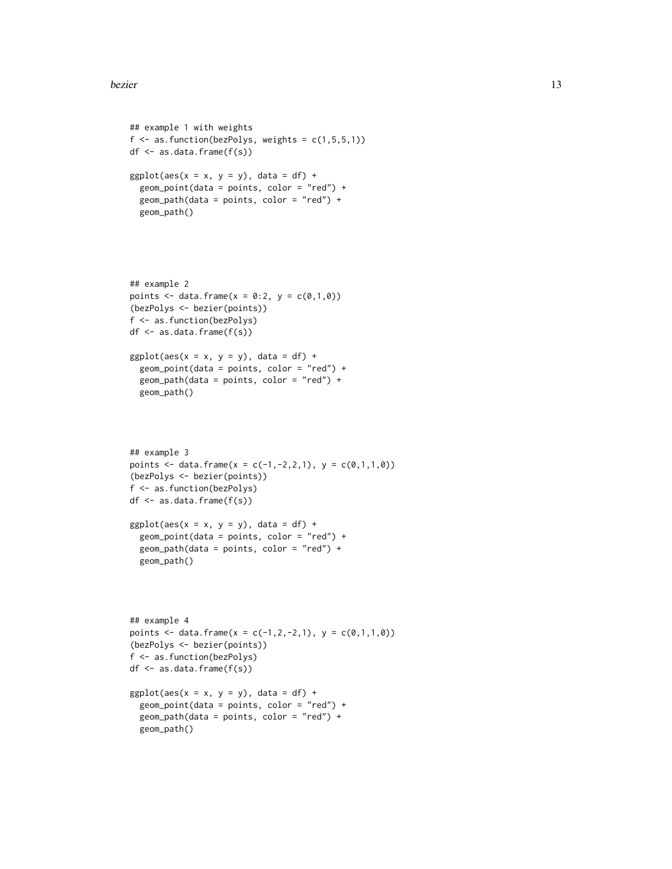#### bezier 13

## example 1 with weights

```
f \leftarrow as . function(bezPolys, weights = c(1, 5, 5, 1))df \leq as.data.frame(f(s))
ggplot(aes(x = x, y = y), data = df) +geom_point(data = points, color = "red") +
  geom_path(data = points, color = "red") +
  geom_path()
## example 2
points <- data.frame(x = 0:2, y = c(0,1,0))
(bezPolys <- bezier(points))
f <- as.function(bezPolys)
df <- as.data.frame(f(s))
ggplot(aes(x = x, y = y), data = df) +geom\_point(data = points, color = "red") +geom_path(data = points, color = "red") +
  geom_path()
## example 3
points <- data.frame(x = c(-1,-2,2,1), y = c(0,1,1,0))
(bezPolys <- bezier(points))
f <- as.function(bezPolys)
df \leftarrow as.data-frame(f(s))ggplot(aes(x = x, y = y), data = df) +geom_point(data = points, color = "red") +
  geom_path(data = points, color = "red") +
  geom_path()
## example 4
points <- data.frame(x = c(-1,2,-2,1), y = c(0,1,1,0))
(bezPolys <- bezier(points))
f <- as.function(bezPolys)
df <- as.data.frame(f(s))
ggplot(aes(x = x, y = y), data = df) +geom_point(data = points, color = "red") +
  geom_path(data = points, color = "red") +
  geom_path()
```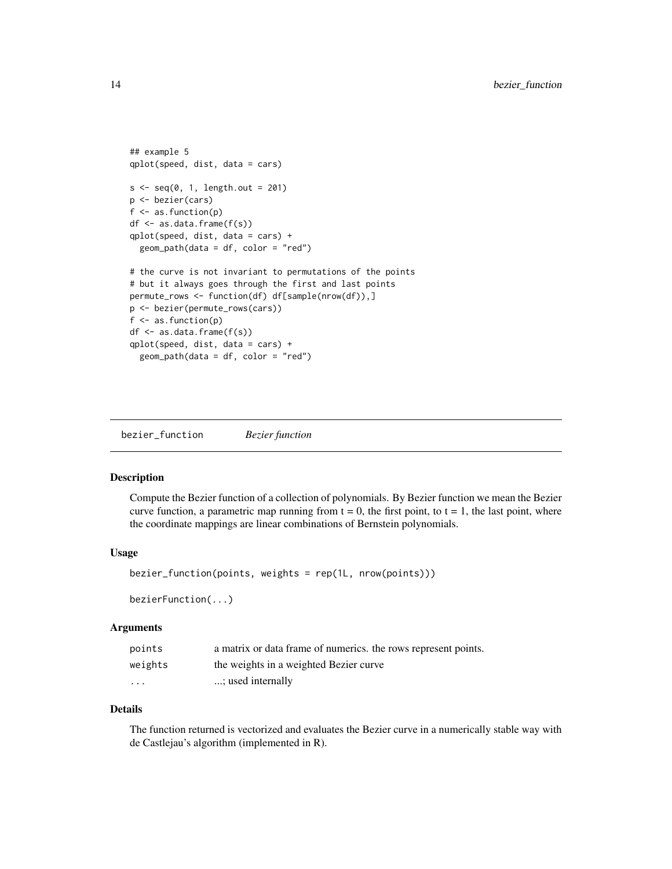```
## example 5
qplot(speed, dist, data = cars)
s < -seq(0, 1, length.out = 201)p <- bezier(cars)
f \leftarrow as.function(p)df <- as.data.frame(f(s))
qplot(speed, dist, data = cars) +
 geom_path(data = df, color = "red")
# the curve is not invariant to permutations of the points
# but it always goes through the first and last points
permute_rows <- function(df) df[sample(nrow(df)),]
p <- bezier(permute_rows(cars))
f <- as.function(p)
df <- as.data.frame(f(s))
qplot(speed, dist, data = cars) +
 geom_path(data = df, color = "red")
```
<span id="page-13-1"></span>bezier\_function *Bezier function*

#### Description

Compute the Bezier function of a collection of polynomials. By Bezier function we mean the Bezier curve function, a parametric map running from  $t = 0$ , the first point, to  $t = 1$ , the last point, where the coordinate mappings are linear combinations of Bernstein polynomials.

#### Usage

bezier\_function(points, weights = rep(1L, nrow(points)))

bezierFunction(...)

#### Arguments

| points   | a matrix or data frame of numerics, the rows represent points. |
|----------|----------------------------------------------------------------|
| weights  | the weights in a weighted Bezier curve                         |
| $\cdots$ | ; used internally                                              |

#### Details

The function returned is vectorized and evaluates the Bezier curve in a numerically stable way with de Castlejau's algorithm (implemented in R).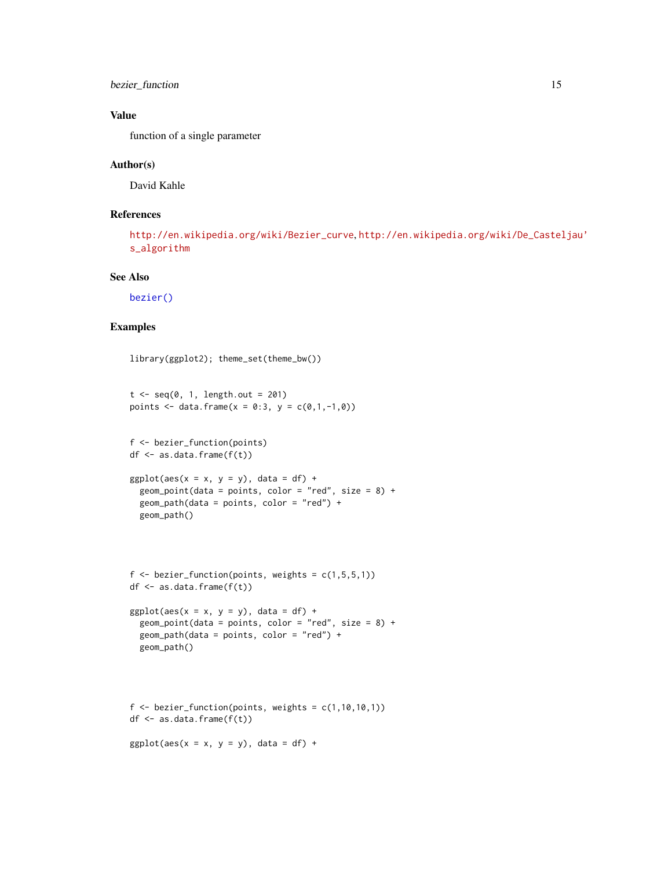<span id="page-14-0"></span>bezier\_function 15

#### Value

function of a single parameter

#### Author(s)

David Kahle

#### References

```
http://en.wikipedia.org/wiki/Bezier_curve, http://en.wikipedia.org/wiki/De_Casteljau'
s_algorithm
```
#### See Also

[bezier\(\)](#page-10-1)

```
library(ggplot2); theme_set(theme_bw())
t \leq -\text{seq}(0, 1, \text{length.out} = 201)points <- data.frame(x = 0:3, y = c(0,1,-1,0))
f <- bezier_function(points)
df <- as.data.frame(f(t))
ggplot(aes(x = x, y = y), data = df) +geom_point(data = points, color = "red", size = 8) +
  geom_path(data = points, color = "red") +
  geom_path()
```

```
f \leftarrow bezier_function(points, weights = c(1,5,5,1))
df <- as.data.frame(f(t))
```

```
ggplot(aes(x = x, y = y), data = df) +geom_point(data = points, color = "red", size = 8) +
  geom_path(data = points, color = "red") +
  geom_path()
```

```
f \leftarrow bezier_function(points, weights = c(1, 10, 10, 1))
df <- as.data.frame(f(t))
```

```
ggplot(aes(x = x, y = y), data = df) +
```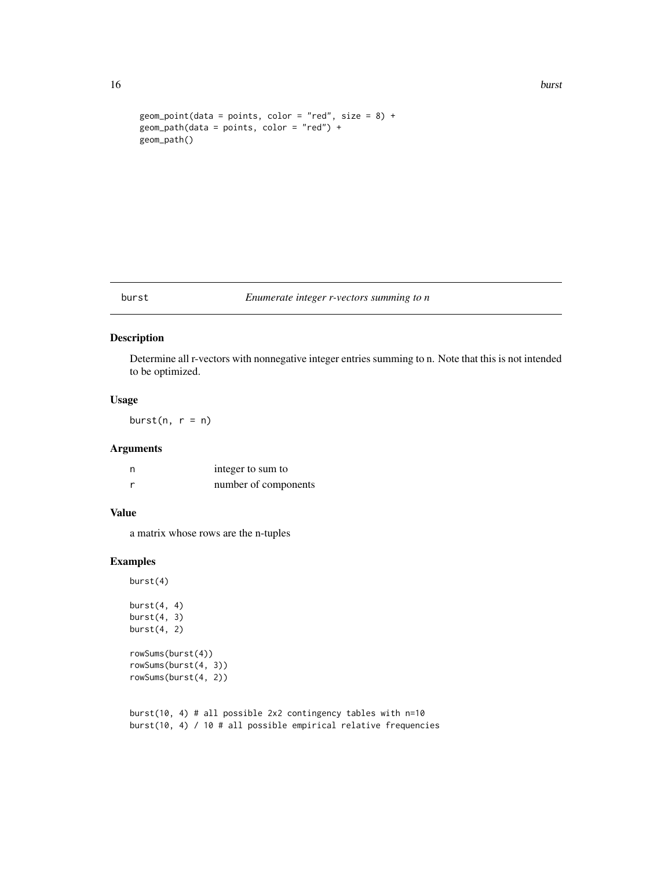#### <span id="page-15-0"></span>16 burst burst burst burst burst burst burst burst burst burst burst burst burst burst burst burst burst burst

```
geom_point(data = points, color = "red", size = 8) +
geom_path(data = points, color = "red") +
geom_path()
```
#### burst *Enumerate integer r-vectors summing to n*

# Description

Determine all r-vectors with nonnegative integer entries summing to n. Note that this is not intended to be optimized.

#### Usage

burst $(n, r = n)$ 

#### Arguments

| n | integer to sum to    |
|---|----------------------|
|   | number of components |

#### Value

a matrix whose rows are the n-tuples

# Examples

burst(4) burst $(4, 4)$ burst $(4, 3)$ burst $(4, 2)$ rowSums(burst(4)) rowSums(burst(4, 3)) rowSums(burst(4, 2))

burst(10, 4) # all possible 2x2 contingency tables with n=10 burst(10, 4) / 10 # all possible empirical relative frequencies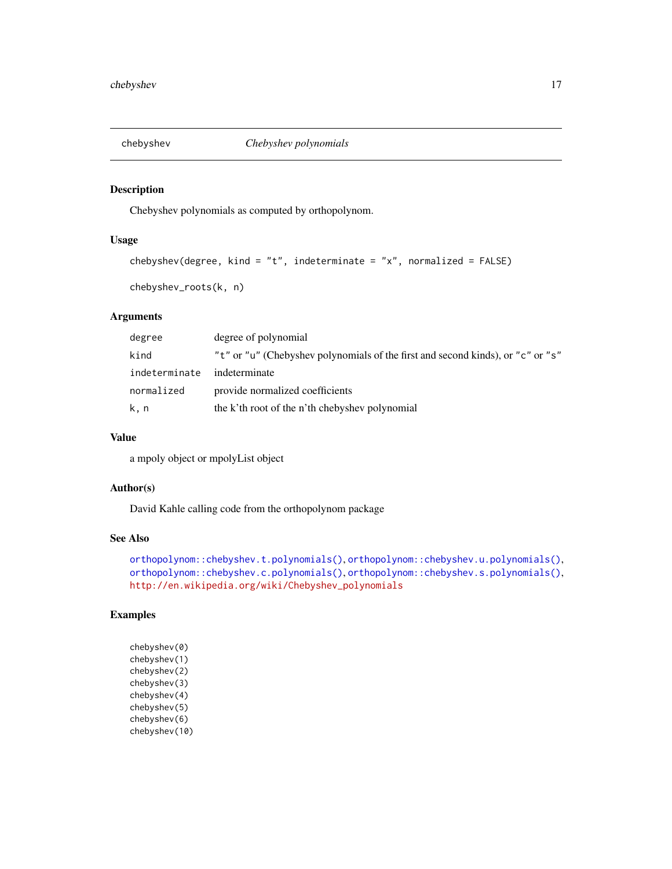<span id="page-16-1"></span><span id="page-16-0"></span>

# Description

Chebyshev polynomials as computed by orthopolynom.

#### Usage

```
chebyshev(degree, kind = "t", indeterminate = "x", normalized = FALSE)
```

```
chebyshev_roots(k, n)
```
# Arguments

| degree        | degree of polynomial                                                            |
|---------------|---------------------------------------------------------------------------------|
| kind          | "t" or "u" (Chebyshev polynomials of the first and second kinds), or "c" or "s" |
| indeterminate | indeterminate                                                                   |
| normalized    | provide normalized coefficients                                                 |
| k, n          | the k'th root of the n'th chebyshev polynomial                                  |

#### Value

a mpoly object or mpolyList object

# Author(s)

David Kahle calling code from the orthopolynom package

#### See Also

```
orthopolynom::chebyshev.t.polynomials(), orthopolynom::chebyshev.u.polynomials(),
orthopolynom::chebyshev.c.polynomials(), orthopolynom::chebyshev.s.polynomials(),
http://en.wikipedia.org/wiki/Chebyshev_polynomials
```
# Examples

chebyshev(0) chebyshev(1) chebyshev(2) chebyshev(3) chebyshev(4) chebyshev(5) chebyshev(6) chebyshev(10)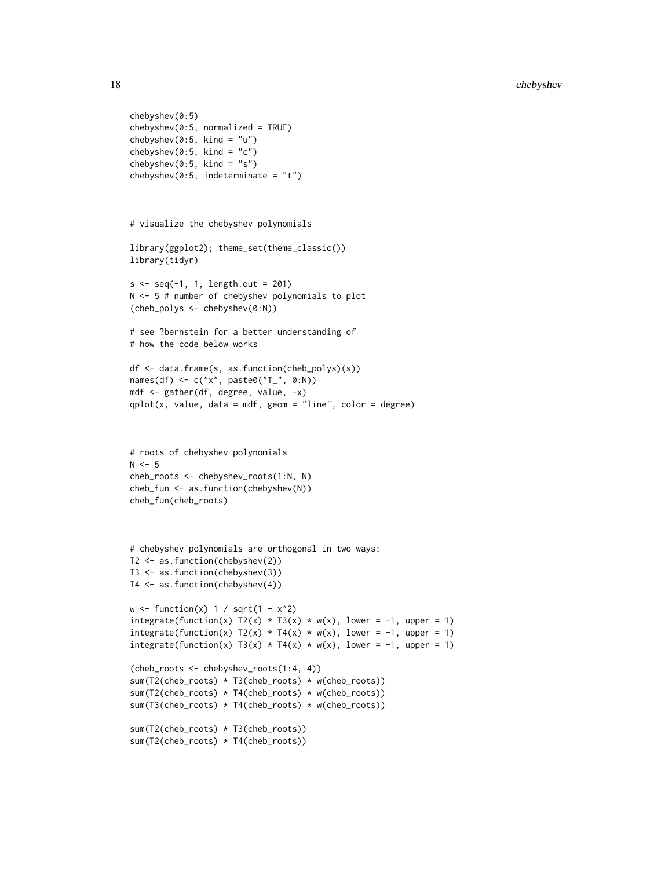```
chebyshev(0:5)
chebyshev(0:5, normalized = TRUE)chebyshev(0:5, kind = "u")chebyshev(0:5, kind = "c")
chebyshev(0:5, kind = "s")
chebyshev(0:5, indeterminate = "t")
# visualize the chebyshev polynomials
library(ggplot2); theme_set(theme_classic())
library(tidyr)
s \leq seq(-1, 1, length.out = 201)N <- 5 # number of chebyshev polynomials to plot
(cheb_polys <- chebyshev(0:N))
# see ?bernstein for a better understanding of
# how the code below works
df <- data.frame(s, as.function(cheb_polys)(s))
names(df) <- c("x", paste0("T_", 0:N))
mdf <- gather(df, degree, value, -x)
qplot(x, value, data = mdf, geom = "line", color = degree)# roots of chebyshev polynomials
N < -5cheb_roots <- chebyshev_roots(1:N, N)
cheb_fun <- as.function(chebyshev(N))
cheb_fun(cheb_roots)
# chebyshev polynomials are orthogonal in two ways:
T2 <- as.function(chebyshev(2))
T3 <- as.function(chebyshev(3))
T4 <- as.function(chebyshev(4))
w \leftarrow function(x) 1 / sqrt(1 - x^2)integrate(function(x) T2(x) * T3(x) * w(x), lower = -1, upper = 1)
integrate(function(x) T2(x) * T4(x) * w(x), lower = -1, upper = 1)
integrate(function(x) T3(x) * T4(x) * w(x), lower = -1, upper = 1)
(cheb_roots <- chebyshev_roots(1:4, 4))
sum(T2(cheb_roots) * T3(cheb_roots) * w(cheb_roots))
sum(T2(cheb_roots) * T4(cheb_roots) * w(cheb_roots))
sum(T3(cheb_roots) * T4(cheb_roots) * w(cheb_roots))
sum(T2(cheb_roots) * T3(cheb_roots))
sum(T2(cheb_roots) * T4(cheb_roots))
```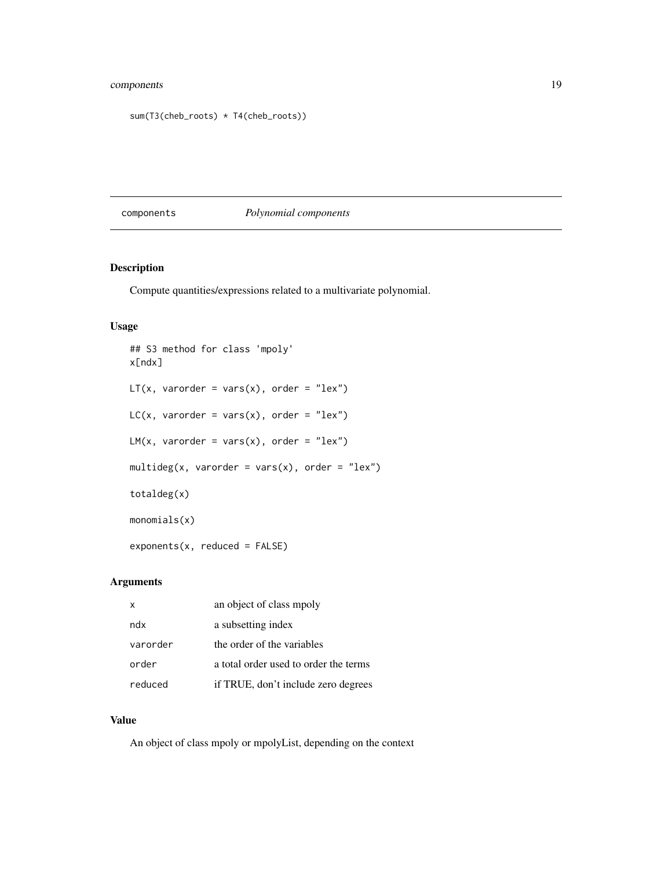# <span id="page-18-0"></span>components 19

```
sum(T3(cheb_roots) * T4(cheb_roots))
```
# components *Polynomial components*

# Description

Compute quantities/expressions related to a multivariate polynomial.

### Usage

```
## S3 method for class 'mpoly'
x[ndx]
LT(x, varorder = vars(x), order = "lex")LC(x, varorder = vars(x), order = "lex")LM(x, varorder = vars(x), order = "lex")multideg(x, varorder = vars(x), order = "lex")
totaldeg(x)
monomials(x)
exponents(x, reduced = FALSE)
```
# Arguments

| x        | an object of class mpoly              |
|----------|---------------------------------------|
| ndx      | a subsetting index                    |
| varorder | the order of the variables            |
| order    | a total order used to order the terms |
| reduced  | if TRUE, don't include zero degrees   |

# Value

An object of class mpoly or mpolyList, depending on the context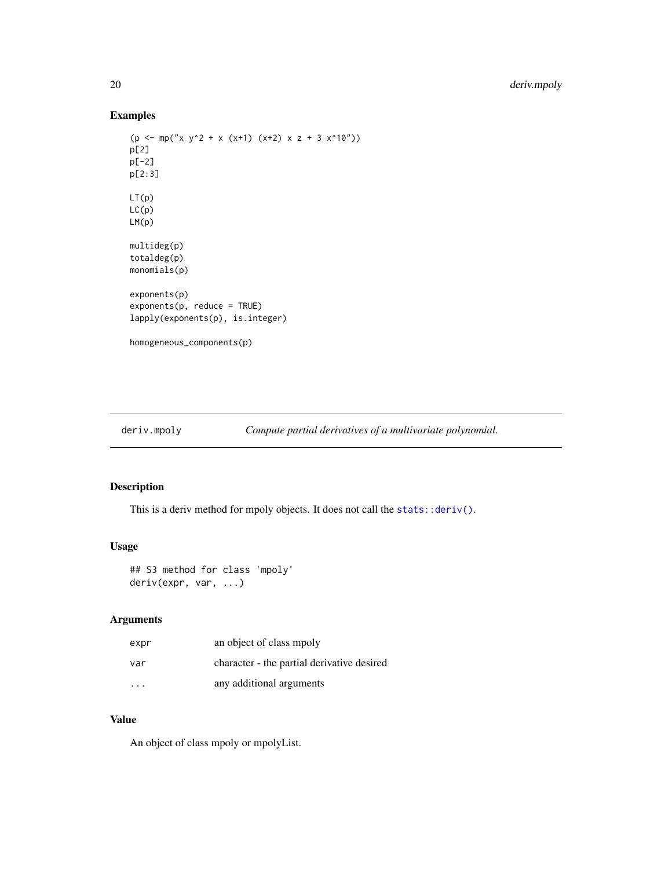# <span id="page-19-0"></span>Examples

```
(p \le mp("x y^2 + x (x+1) (x+2) x z + 3 x^10")p[2]
p[-2]
p[2:3]
LT(p)
LC(p)
LM(p)
multideg(p)
totaldeg(p)
monomials(p)
exponents(p)
exponents(p, reduce = TRUE)
lapply(exponents(p), is.integer)
homogeneous_components(p)
```
<span id="page-19-1"></span>deriv.mpoly *Compute partial derivatives of a multivariate polynomial.*

# Description

This is a deriv method for mpoly objects. It does not call the [stats::deriv\(\)](#page-0-0).

#### Usage

```
## S3 method for class 'mpoly'
deriv(expr, var, ...)
```
# Arguments

| expr | an object of class mpoly                   |
|------|--------------------------------------------|
| var  | character - the partial derivative desired |
| .    | any additional arguments                   |

# Value

An object of class mpoly or mpolyList.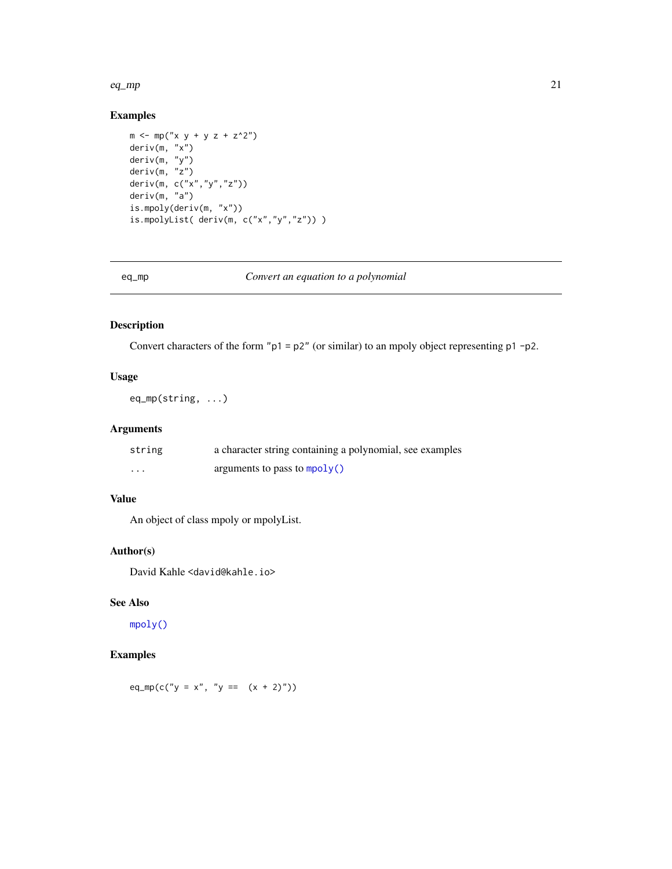#### <span id="page-20-0"></span> $eq$ \_mp  $21$

# Examples

```
m \le m mp("x y + y z + z^2")
deriv(m, "x")
deriv(m, "y")
deriv(m, "z")
deriv(m, c("x","y","z"))
deriv(m, "a")
is.mpoly(deriv(m, "x"))
is.mpolyList( deriv(m, c("x","y","z")) )
```

# eq\_mp *Convert an equation to a polynomial*

# Description

Convert characters of the form "p1 = p2" (or similar) to an mpoly object representing p1 -p2.

# Usage

eq\_mp(string, ...)

#### Arguments

| string   | a character string containing a polynomial, see examples |
|----------|----------------------------------------------------------|
| $\cdots$ | arguments to pass to $mpoly()$                           |

#### Value

An object of class mpoly or mpolyList.

#### Author(s)

David Kahle <david@kahle.io>

# See Also

[mpoly\(\)](#page-35-1)

# Examples

eq\_mp(c("y = x", "y ==  $(x + 2)$ "))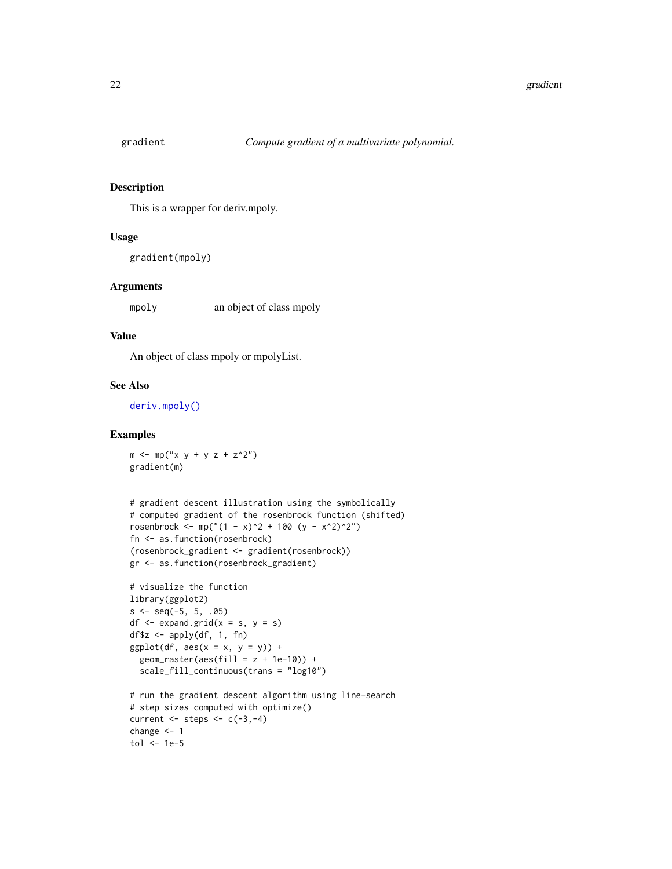<span id="page-21-0"></span>

#### Description

This is a wrapper for deriv.mpoly.

#### Usage

gradient(mpoly)

#### Arguments

mpoly an object of class mpoly

#### Value

An object of class mpoly or mpolyList.

#### See Also

[deriv.mpoly\(\)](#page-19-1)

# Examples

 $m \le m \le m \le \frac{m}{2} \times \frac{1}{2} + \frac{1}{2} \times \frac{2}{2}$ gradient(m)

```
# gradient descent illustration using the symbolically
# computed gradient of the rosenbrock function (shifted)
rosenbrock <- mp("(1 - x)^2 + 100 (y - x^2)^2")
fn <- as.function(rosenbrock)
(rosenbrock_gradient <- gradient(rosenbrock))
gr <- as.function(rosenbrock_gradient)
```

```
# visualize the function
library(ggplot2)
s \leq -\text{seq}(-5, 5, .05)df \leftarrow expand.grid(x = s, y = s)
df$z <- apply(df, 1, fn)
ggplot(df, aes(x = x, y = y)) +
  geom\_raster(aes(fill = z + 1e-10)) +
  scale_fill_continuous(trans = "log10")
# run the gradient descent algorithm using line-search
# step sizes computed with optimize()
current \leq steps \leq c(-3,-4)
```

```
change <- 1
tol <- 1e-5
```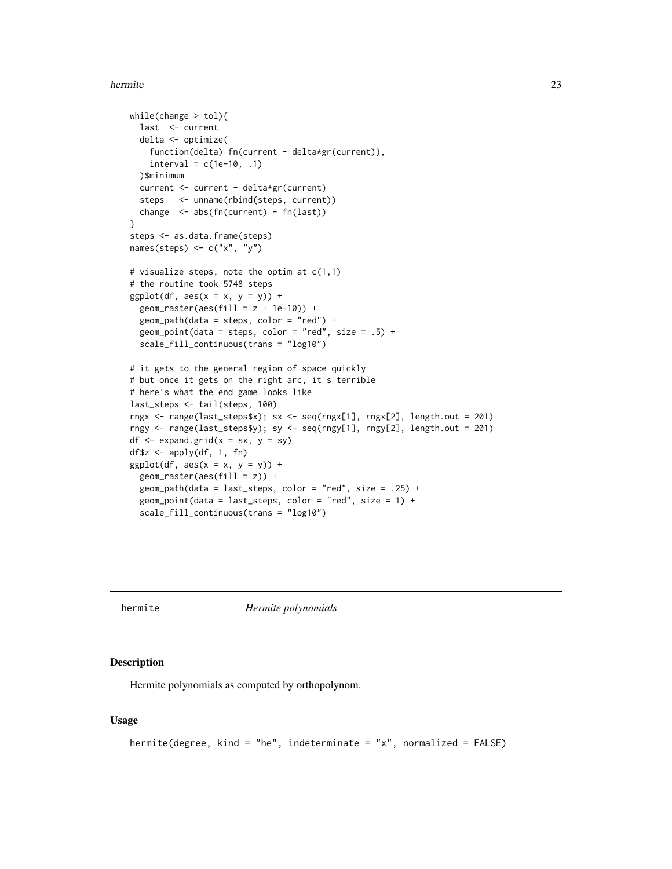#### <span id="page-22-0"></span>hermite 23

```
while(change > tol){
 last <- current
 delta <- optimize(
   function(delta) fn(current - delta*gr(current)),
   interval = c(1e-10, .1))$minimum
 current <- current - delta*gr(current)
 steps <- unname(rbind(steps, current))
 change <- abs(fn(current) - fn(last))
}
steps <- as.data.frame(steps)
names(steps) \leq c("x", "y")
# visualize steps, note the optim at c(1,1)
# the routine took 5748 steps
ggplot(df, aes(x = x, y = y)) +geom\_raster(aes(fill = z + 1e-10)) +
 geom_path(data = steps, color = "red") +
 geom_point(data = steps, color = "red", size = .5) +
 scale_fill_continuous(trans = "log10")
# it gets to the general region of space quickly
# but once it gets on the right arc, it's terrible
# here's what the end game looks like
last_steps <- tail(steps, 100)
rngx <- range(last_steps$x); sx <- seq(rngx[1], rngx[2], length.out = 201)
rngy <- range(last_steps$y); sy <- seq(rngy[1], rngy[2], length.out = 201)
df \leq expand.grid(x = sx, y = sy)
df$z <- apply(df, 1, fn)
ggplot(df, aes(x = x, y = y)) +geom_raster(aes(fill = z)) +
 geom_path(data = last_steps, color = "red", size = .25) +
 geom_point(data = last_steps, color = "red", size = 1) +
 scale_fill_continuous(trans = "log10")
```
hermite *Hermite polynomials*

#### Description

Hermite polynomials as computed by orthopolynom.

#### Usage

```
hermite(degree, kind = "he", indeterminate = "x", normalized = FALSE)
```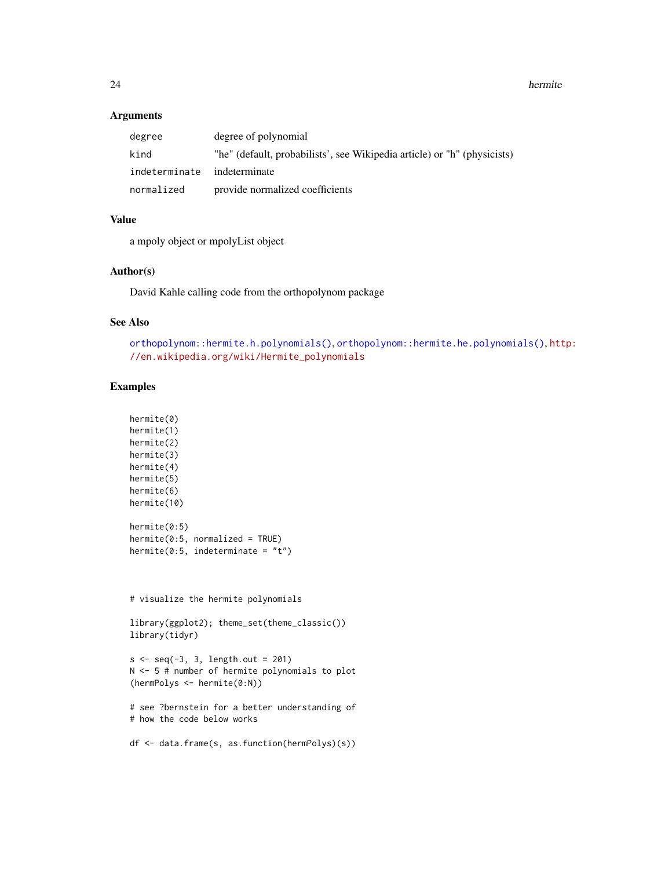<span id="page-23-0"></span>24 hermite and the set of the set of the set of the set of the set of the set of the set of the set of the set of the set of the set of the set of the set of the set of the set of the set of the set of the set of the set o

#### Arguments

| degree                      | degree of polynomial                                                     |
|-----------------------------|--------------------------------------------------------------------------|
| kind                        | "he" (default, probabilists', see Wikipedia article) or "h" (physicists) |
| indeterminate indeterminate |                                                                          |
| normalized                  | provide normalized coefficients                                          |

#### Value

a mpoly object or mpolyList object

#### Author(s)

David Kahle calling code from the orthopolynom package

# See Also

[orthopolynom::hermite.h.polynomials\(\)](#page-0-0), [orthopolynom::hermite.he.polynomials\(\)](#page-0-0), [htt](http://en.wikipedia.org/wiki/Hermite_polynomials)p: [//en.wikipedia.org/wiki/Hermite\\_polynomials](http://en.wikipedia.org/wiki/Hermite_polynomials)

# Examples

```
hermite(0)
hermite(1)
hermite(2)
hermite(3)
hermite(4)
hermite(5)
hermite(6)
hermite(10)
hermite(0:5)
hermite(0:5, normalized = TRUE)hermite(0:5, indeterminate = "t")
```
# visualize the hermite polynomials

```
library(ggplot2); theme_set(theme_classic())
library(tidyr)
```

```
s < -seq(-3, 3, length.out = 201)N <- 5 # number of hermite polynomials to plot
(hermPolys <- hermite(0:N))
```

```
# see ?bernstein for a better understanding of
# how the code below works
```

```
df <- data.frame(s, as.function(hermPolys)(s))
```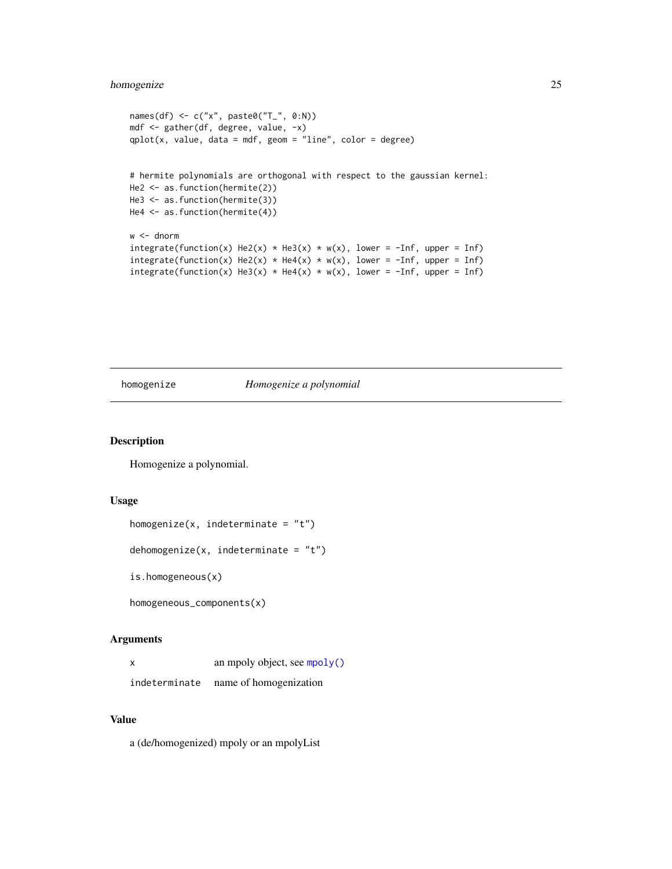# <span id="page-24-0"></span>homogenize 25

```
names(df) \leq c("x", paste0("T_", 0:N))
mdf <- gather(df, degree, value, -x)
qplot(x, value, data = mdf, geom = "line", color = degree)# hermite polynomials are orthogonal with respect to the gaussian kernel:
He2 <- as.function(hermite(2))
He3 <- as.function(hermite(3))
He4 <- as.function(hermite(4))
w <- dnorm
integerate(function(x) He2(x) * He3(x) * w(x), lower = -Inf, upper = Inf)integrate(function(x) He2(x) * He4(x) * w(x), lower = -Inf, upper = Inf)
integerate(function(x) He3(x) * He4(x) * w(x), lower = -Inf, upper = Inf)
```
homogenize *Homogenize a polynomial*

#### Description

Homogenize a polynomial.

#### Usage

```
homogenize(x, indeterminate = "t")
```
dehomogenize(x, indeterminate =  $"t")$ 

is.homogeneous(x)

homogeneous\_components(x)

#### Arguments

| x             | an mpoly object, see mpoly() |
|---------------|------------------------------|
| indeterminate | name of homogenization       |

#### Value

a (de/homogenized) mpoly or an mpolyList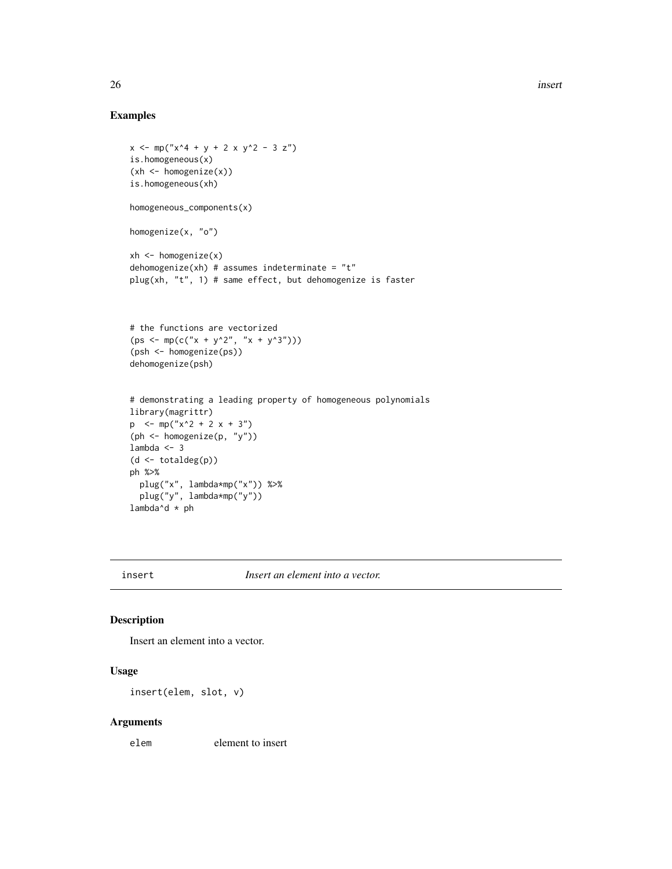# Examples

```
x \le m p("x^4 + y + 2 x y^2 - 3 z")is.homogeneous(x)
(xh \le - \text{homogeneity}(x))is.homogeneous(xh)
homogeneous_components(x)
homogenize(x, "o")
xh \leq - homogenize(x)
dehomogenize(xh) # assumes indeterminate = "t"
plug(xh, "t", 1) # same effect, but dehomogenize is faster
# the functions are vectorized
(ps \leq -mp(c("x + y^2", "x + y^3")))(psh <- homogenize(ps))
dehomogenize(psh)
# demonstrating a leading property of homogeneous polynomials
library(magrittr)
p \le -mp("x^2 + 2 x + 3")(ph <- homogenize(p, "y"))
lambda <- 3
(d <- totaldeg(p))
ph %>%
  plug("x", lambda*mp("x")) %>%
  plug("y", lambda*mp("y"))
lambda^d * ph
```
insert *Insert an element into a vector.*

#### Description

Insert an element into a vector.

# Usage

insert(elem, slot, v)

#### Arguments

elem element to insert

<span id="page-25-0"></span>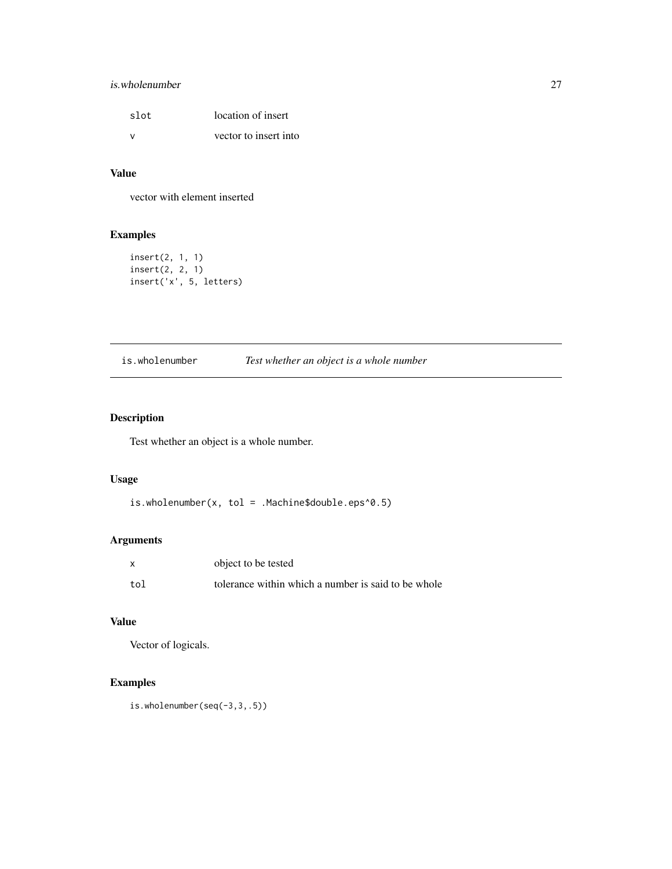# <span id="page-26-0"></span>is.wholenumber 27

| slot          | location of insert    |
|---------------|-----------------------|
| $\mathcal{N}$ | vector to insert into |

# Value

vector with element inserted

# Examples

```
insert(2, 1, 1)
insert(2, 2, 1)
insert('x', 5, letters)
```
# is.wholenumber *Test whether an object is a whole number*

# Description

Test whether an object is a whole number.

# Usage

is.wholenumber(x, tol = .Machine\$double.eps^0.5)

# Arguments

| X   | object to be tested                                 |
|-----|-----------------------------------------------------|
| tol | tolerance within which a number is said to be whole |

# Value

Vector of logicals.

# Examples

is.wholenumber(seq(-3,3,.5))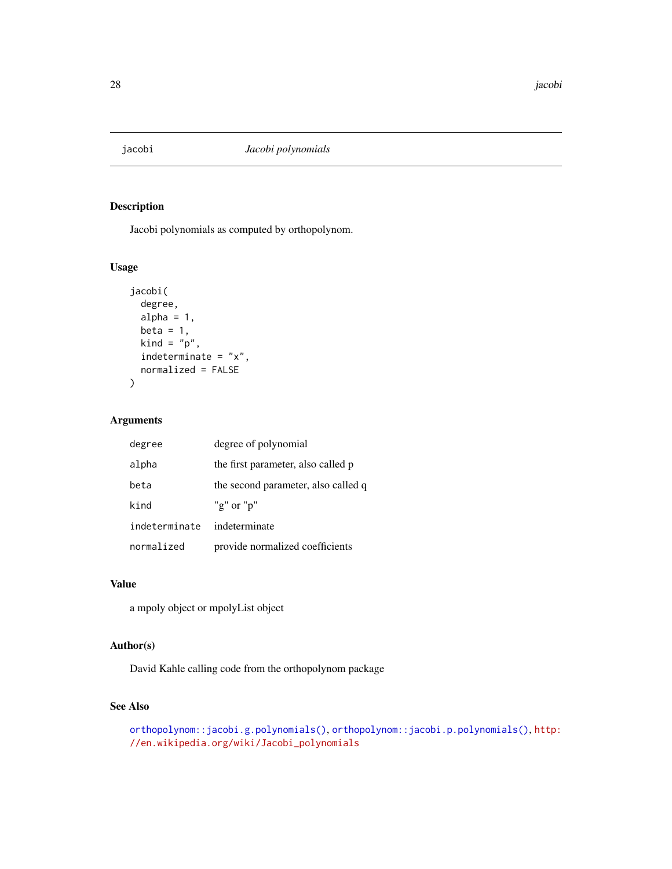<span id="page-27-0"></span>

# Description

Jacobi polynomials as computed by orthopolynom.

#### Usage

```
jacobi(
 degree,
 alpha = 1,
 beta = 1,
 kind = "p",indeterminate = "x",
 normalized = FALSE
)
```
#### Arguments

| degree        | degree of polynomial                |
|---------------|-------------------------------------|
| alpha         | the first parameter, also called p  |
| beta          | the second parameter, also called q |
| kind          | "g" or " $p$ "                      |
| indeterminate | indeterminate                       |
| normalized    | provide normalized coefficients     |

#### Value

a mpoly object or mpolyList object

# Author(s)

David Kahle calling code from the orthopolynom package

### See Also

```
orthopolynom::jacobi.g.polynomials(), orthopolynom::jacobi.p.polynomials(), http:
//en.wikipedia.org/wiki/Jacobi_polynomials
```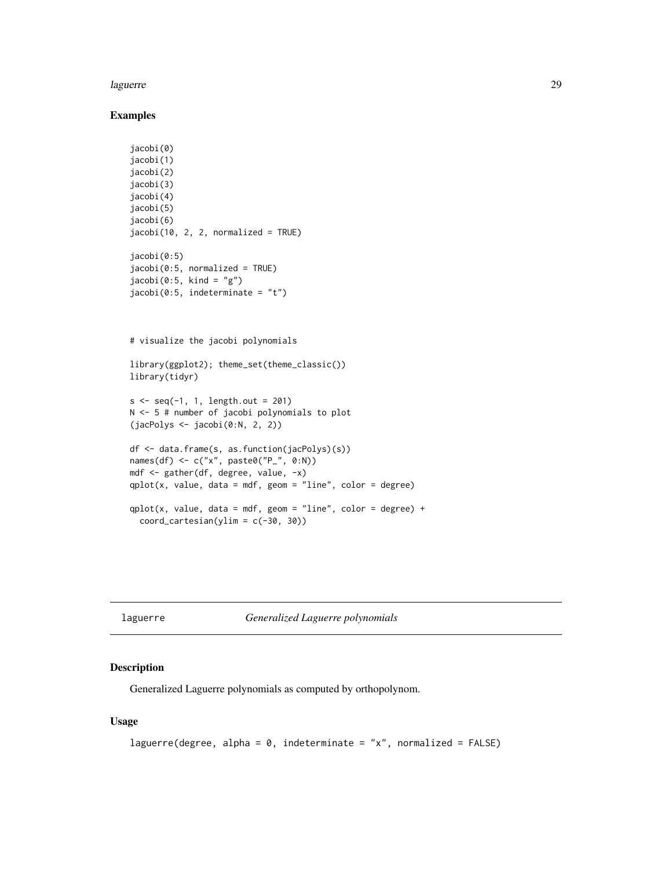#### <span id="page-28-0"></span>laguerre 29

#### Examples

```
jacobi(0)
jacobi(1)
jacobi(2)
jacobi(3)
jacobi(4)
jacobi(5)
jacobi(6)
jacobi(10, 2, 2, normalized = TRUE)jacobi(0:5)
jacobi(0:5, normalized = TRUE)jacobi(0:5, kind = "g")jacobi(0:5, indeterminate = "t")# visualize the jacobi polynomials
```

```
library(ggplot2); theme_set(theme_classic())
library(tidyr)
```

```
s <- seq(-1, 1, length.out = 201)
N <- 5 # number of jacobi polynomials to plot
(jacPolys <- jacobi(0:N, 2, 2))
```

```
df <- data.frame(s, as.function(jacPolys)(s))
names(df) <- c("x", paste0("P_", 0:N))
mdf <- gather(df, degree, value, -x)
qplot(x, value, data = mdf, geom = "line", color = degree)qplot(x, value, data = mdf, geom = "line", color = degree) +coord\_cartesian(ylim = c(-30, 30))
```
laguerre *Generalized Laguerre polynomials*

#### Description

Generalized Laguerre polynomials as computed by orthopolynom.

#### Usage

```
laguerre(degree, alpha = 0, indeterminate = "x", normalized = FALSE)
```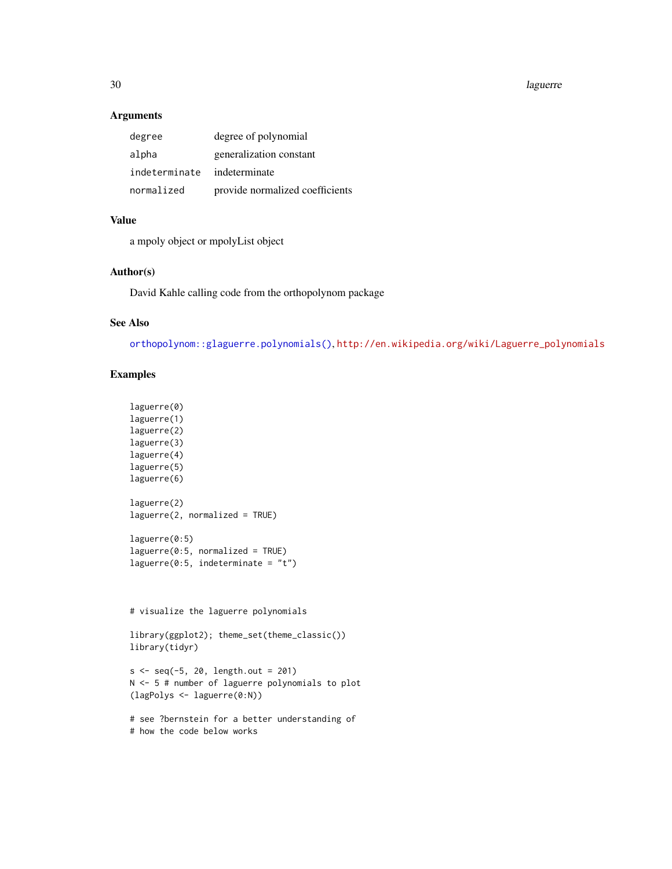30 laguerre

#### Arguments

| degree        | degree of polynomial            |
|---------------|---------------------------------|
| alpha         | generalization constant         |
| indeterminate | indeterminate                   |
| normalized    | provide normalized coefficients |

# Value

a mpoly object or mpolyList object

#### Author(s)

David Kahle calling code from the orthopolynom package

# See Also

[orthopolynom::glaguerre.polynomials\(\)](#page-0-0), [http://en.wikipedia.org/wiki/Laguerre\\_polynomials](http://en.wikipedia.org/wiki/Laguerre_polynomials)

```
laguerre(0)
laguerre(1)
laguerre(2)
laguerre(3)
laguerre(4)
laguerre(5)
laguerre(6)
laguerre(2)
laguerre(2, normalized = TRUE)
laguerre(0:5)
laguerre(0:5, normalized = TRUE)laguerre(0:5, indeterminate = "t")
# visualize the laguerre polynomials
library(ggplot2); theme_set(theme_classic())
library(tidyr)
```

```
s < - seq(-5, 20, length.out = 201)
N <- 5 # number of laguerre polynomials to plot
(lagPolys <- laguerre(0:N))
```

```
# see ?bernstein for a better understanding of
# how the code below works
```
<span id="page-29-0"></span>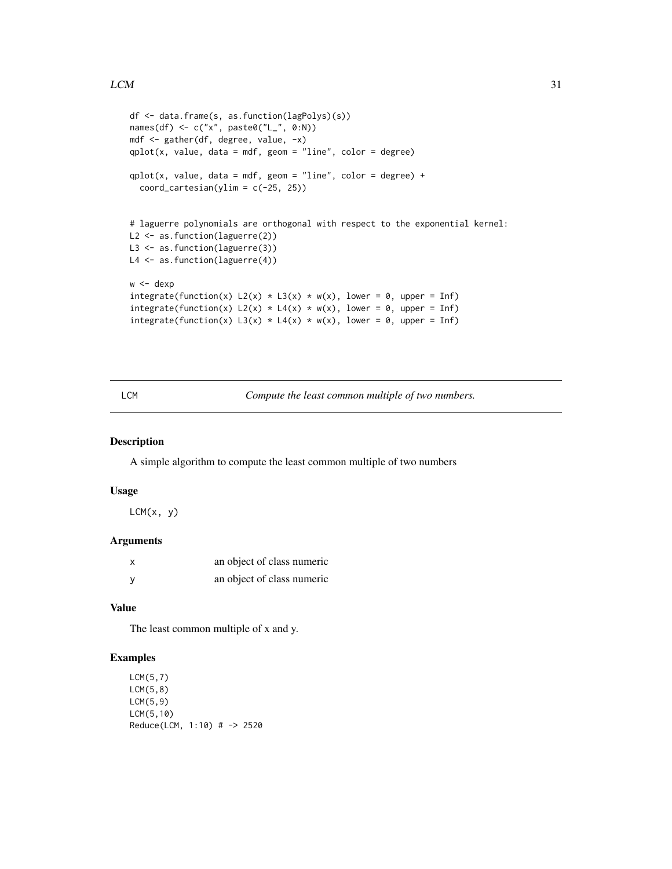```
df <- data.frame(s, as.function(lagPolys)(s))
names(df) <- c("x", paste0("L_", 0:N))
mdf <- gather(df, degree, value, -x)
qplot(x, value, data = mdf, geom = "line", color = degree)qplot(x, value, data = mdf, geom = "line", color = degree) +coord\_cartesian(ylim = c(-25, 25))# laguerre polynomials are orthogonal with respect to the exponential kernel:
L2 <- as.function(laguerre(2))
L3 <- as.function(laguerre(3))
L4 <- as.function(laguerre(4))
w < - dexp
integrate(function(x) L2(x) * L3(x) * w(x), lower = 0, upper = Inf)
integrate(function(x) L2(x) * L4(x) * w(x), lower = 0, upper = Inf)
integrate(function(x) L3(x) * L4(x) * w(x), lower = 0, upper = Inf)
```
LCM *Compute the least common multiple of two numbers.*

#### Description

A simple algorithm to compute the least common multiple of two numbers

#### Usage

 $LCM(x, y)$ 

#### Arguments

| X | an object of class numeric |
|---|----------------------------|
| у | an object of class numeric |

#### Value

The least common multiple of x and y.

```
LCM(5,7)
LCM(5,8)
LCM(5,9)
LCM(5,10)
Reduce(LCM, 1:10) # -> 2520
```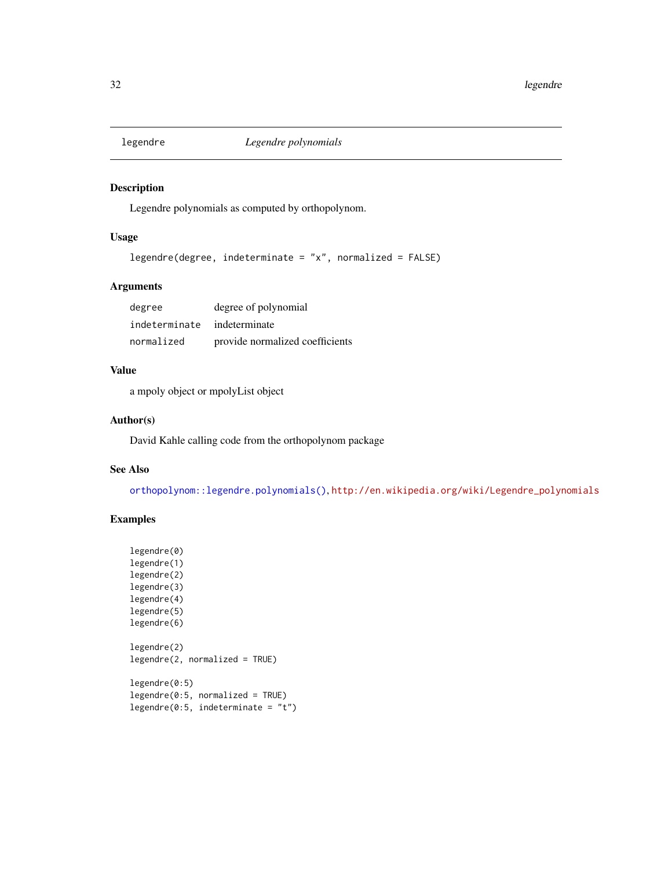<span id="page-31-0"></span>

# Description

Legendre polynomials as computed by orthopolynom.

# Usage

```
legendre(degree, indeterminate = "x", normalized = FALSE)
```
# Arguments

| degree                      | degree of polynomial            |
|-----------------------------|---------------------------------|
| indeterminate indeterminate |                                 |
| normalized                  | provide normalized coefficients |

# Value

a mpoly object or mpolyList object

#### Author(s)

David Kahle calling code from the orthopolynom package

#### See Also

[orthopolynom::legendre.polynomials\(\)](#page-0-0), [http://en.wikipedia.org/wiki/Legendre\\_polynomials](http://en.wikipedia.org/wiki/Legendre_polynomials)

```
legendre(0)
legendre(1)
legendre(2)
legendre(3)
legendre(4)
legendre(5)
legendre(6)
legendre(2)
legendre(2, normalized = TRUE)
legendre(0:5)
legendre(0:5, normalized = TRUE)
legendre(0:5, indeterminate = "t")
```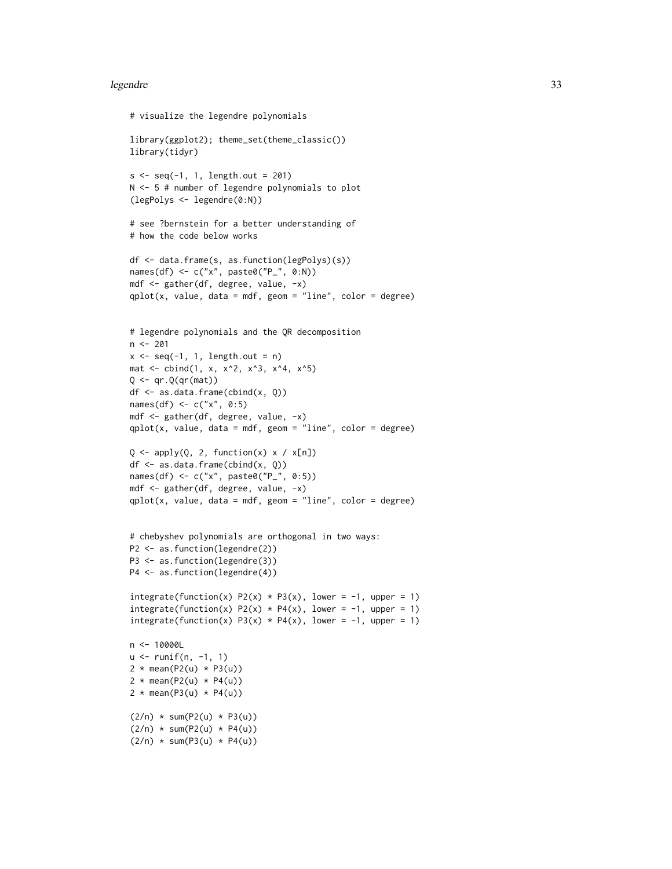#### legendre 33

```
# visualize the legendre polynomials
library(ggplot2); theme_set(theme_classic())
library(tidyr)
s < -seq(-1, 1, length.out = 201)N <- 5 # number of legendre polynomials to plot
(legPolys <- legendre(0:N))
# see ?bernstein for a better understanding of
# how the code below works
df <- data.frame(s, as.function(legPolys)(s))
names(df) <- c("x", paste0("P_", 0:N))
mdf <- gather(df, degree, value, -x)
qplot(x, value, data = mdf, geom = "line", color = degree)# legendre polynomials and the QR decomposition
n < -201x \leq -\text{seq}(-1, 1, \text{length.out} = n)mat \le cbind(1, x, x^2, x^3, x^4, x^5)
Q \leftarrow qr.Q(qr(mat))df <- as.data.frame(cbind(x, Q))
names(df) <- c("x", 0:5)mdf <- gather(df, degree, value, -x)
qplot(x, value, data = mdf, geom = "line", color = degree)Q \leftarrow apply(Q, 2, function(x) \times / x[n])df <- as.data.frame(cbind(x, Q))
names(df) <- c("x", paste0("P_", 0:5))
mdf <- gather(df, degree, value, -x)
qplot(x, value, data = mdf, geom = "line", color = degree)# chebyshev polynomials are orthogonal in two ways:
P2 <- as.function(legendre(2))
P3 <- as.function(legendre(3))
P4 <- as.function(legendre(4))
integrate(function(x) P2(x) * P3(x), lower = -1, upper = 1)
integerate(function(x) P2(x) * P4(x), lower = -1, upper = 1)integrate(function(x) P3(x) * P4(x), lower = -1, upper = 1)
n <- 10000L
u \le runif(n, -1, 1)
2 * mean(P2(u) * P3(u))
2 * mean(P2(u) * P4(u))
2 * mean(P3(u) * P4(u))
(2/n) * sum(P2(u) * P3(u))
(2/n) * sum(P2(u) * P4(u))(2/n) * sum(P3(u) * P4(u))
```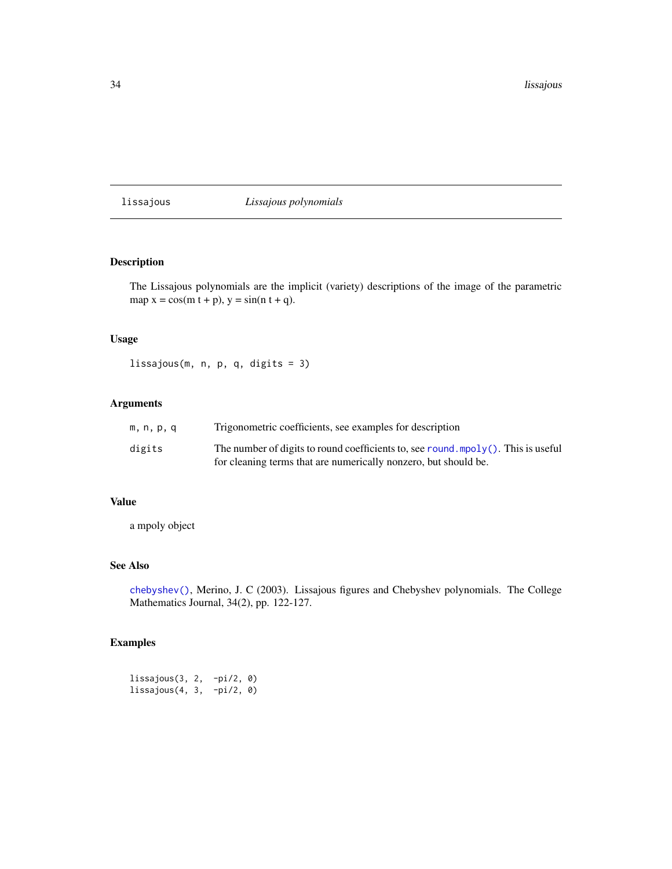<span id="page-33-0"></span>lissajous *Lissajous polynomials*

# Description

The Lissajous polynomials are the implicit (variety) descriptions of the image of the parametric map  $x = cos(m t + p)$ ,  $y = sin(n t + q)$ .

#### Usage

lissajous(m, n, p, q, digits = 3)

# Arguments

| m.n.p.q | Trigonometric coefficients, see examples for description                                                                                                |
|---------|---------------------------------------------------------------------------------------------------------------------------------------------------------|
| digits  | The number of digits to round coefficients to, see round mpol $y($ ). This is useful<br>for cleaning terms that are numerically nonzero, but should be. |

# Value

a mpoly object

#### See Also

[chebyshev\(\)](#page-16-1), Merino, J. C (2003). Lissajous figures and Chebyshev polynomials. The College Mathematics Journal, 34(2), pp. 122-127.

# Examples

lissajous(3, 2, -pi/2, 0) lissajous(4, 3, -pi/2, 0)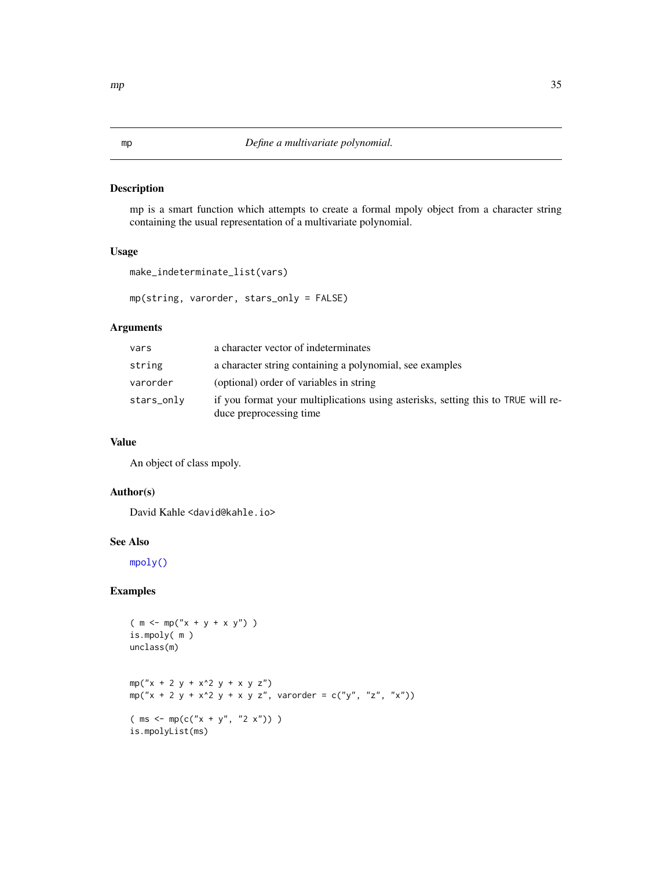# <span id="page-34-1"></span><span id="page-34-0"></span>Description

mp is a smart function which attempts to create a formal mpoly object from a character string containing the usual representation of a multivariate polynomial.

#### Usage

```
make_indeterminate_list(vars)
```
mp(string, varorder, stars\_only = FALSE)

#### Arguments

| vars       | a character vector of indeterminates                                                                         |
|------------|--------------------------------------------------------------------------------------------------------------|
| string     | a character string containing a polynomial, see examples                                                     |
| varorder   | (optional) order of variables in string                                                                      |
| stars_onlv | if you format your multiplications using asterisks, setting this to TRUE will re-<br>duce preprocessing time |

#### Value

An object of class mpoly.

#### Author(s)

David Kahle <david@kahle.io>

#### See Also

[mpoly\(\)](#page-35-1)

```
(m < - mp("x + y + x y") )is.mpoly( m )
unclass(m)
mp("x + 2 y + x^2 y + x y y z")mp("x + 2 y + x^2 y + x y z", varorder = c("y", "z", "x"))
(ms < - mp(c("x + y", "2 x")) )is.mpolyList(ms)
```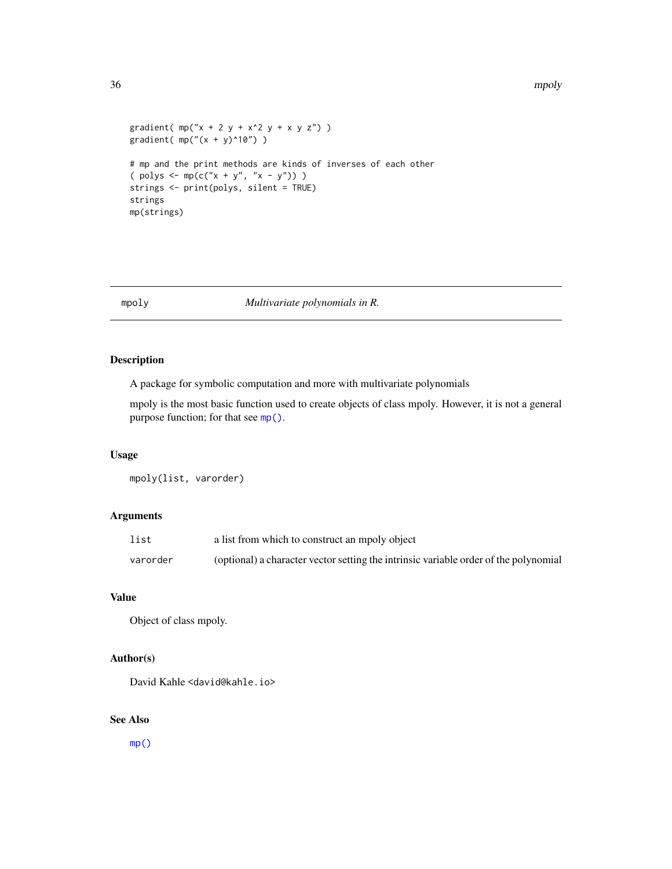```
gradient( mp("x + 2 y + x^2 y + x y z") )
gradient( mp("(x + y)^10") )
# mp and the print methods are kinds of inverses of each other
( polys \le mp(c("x + y", "x - y")) )
strings <- print(polys, silent = TRUE)
strings
mp(strings)
```
# <span id="page-35-1"></span>mpoly *Multivariate polynomials in R.*

# Description

A package for symbolic computation and more with multivariate polynomials

mpoly is the most basic function used to create objects of class mpoly. However, it is not a general purpose function; for that see [mp\(\)](#page-34-1).

#### Usage

mpoly(list, varorder)

#### Arguments

| list     | a list from which to construct an mpoly object                                       |
|----------|--------------------------------------------------------------------------------------|
| varorder | (optional) a character vector setting the intrinsic variable order of the polynomial |

#### Value

Object of class mpoly.

#### Author(s)

David Kahle <david@kahle.io>

#### See Also

 $mp()$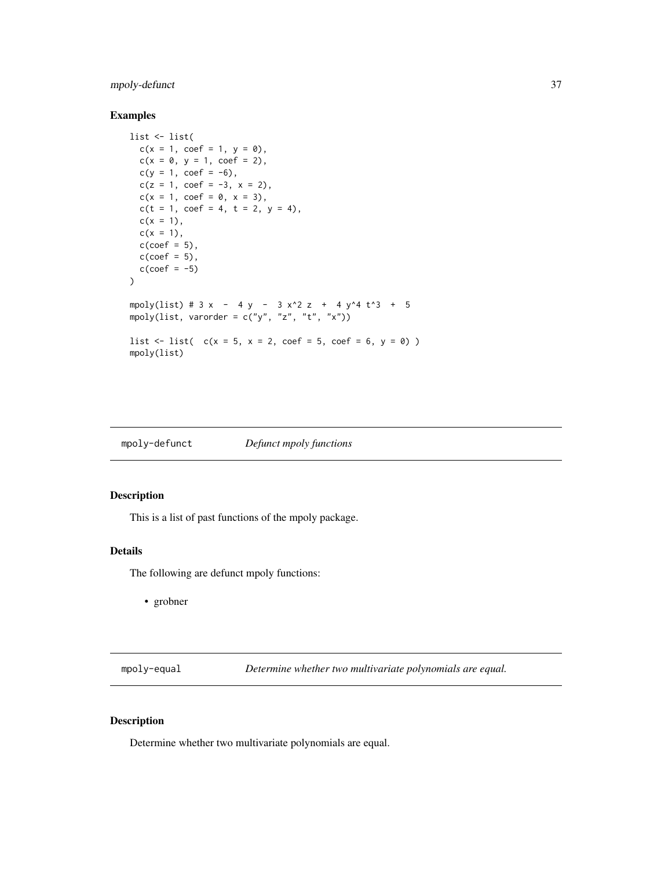# <span id="page-36-0"></span>mpoly-defunct 37

# Examples

```
list <- list(
  c(x = 1, coef = 1, y = 0),c(x = 0, y = 1, coef = 2),c(y = 1, \text{ coef} = -6),c(z = 1, \text{ coef} = -3, x = 2),c(x = 1, \text{ coef} = 0, x = 3),c(t = 1, coef = 4, t = 2, y = 4),c(x = 1),c(x = 1),
  c(coef = 5),
  c(\text{coef} = 5),
  c(coef = -5))
mpoly(list) # 3x - 4y - 3x^2z + 4y^4t^3 + 5mpoly(list, varorder = c("y", "z", "t", "x"))
list \le list( c(x = 5, x = 2, \text{coef} = 5, \text{coef} = 6, y = 0) )
mpoly(list)
```

| mpoly-defunct | Defunct mpoly functions |
|---------------|-------------------------|
|               |                         |

# Description

This is a list of past functions of the mpoly package.

#### Details

The following are defunct mpoly functions:

• grobner

mpoly-equal *Determine whether two multivariate polynomials are equal.*

#### Description

Determine whether two multivariate polynomials are equal.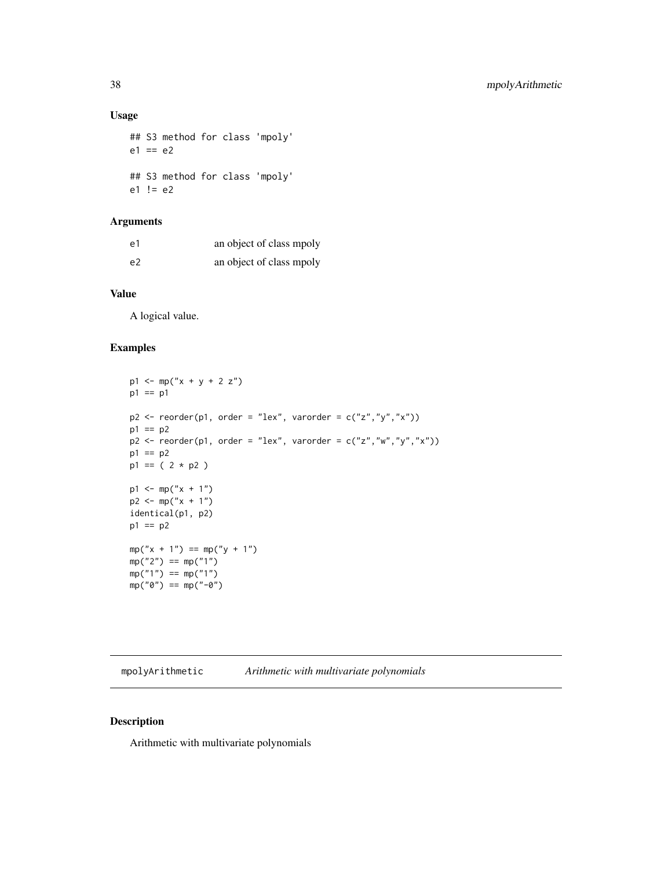# Usage

## S3 method for class 'mpoly'  $e1 == e2$ ## S3 method for class 'mpoly'  $e1$  !=  $e2$ 

# Arguments

| e1             | an object of class mpoly |
|----------------|--------------------------|
| e <sub>2</sub> | an object of class mpoly |

# Value

A logical value.

#### Examples

```
p1 <- mp("x + y + 2 z")p1 == p1
p2 \leq reorder(p1, order = "lex", varorder = c("z", "y", "x"))
p1 == p2p2 \leq -\text{reorder}(p1, \text{ order} = "lex", \text{varorder} = c("z", "w", "y", "x"))p1 == p2p1 == (2 * p2)p1 \le m p("x + 1")p2 \le - mp("x + 1")identical(p1, p2)
p1 == p2
mp('x + 1") == mp('y + 1")mp("2") == mp("1")mp("1") == mp("1")mp("0") == mp("-\theta")
```
mpolyArithmetic *Arithmetic with multivariate polynomials*

# Description

Arithmetic with multivariate polynomials

<span id="page-37-0"></span>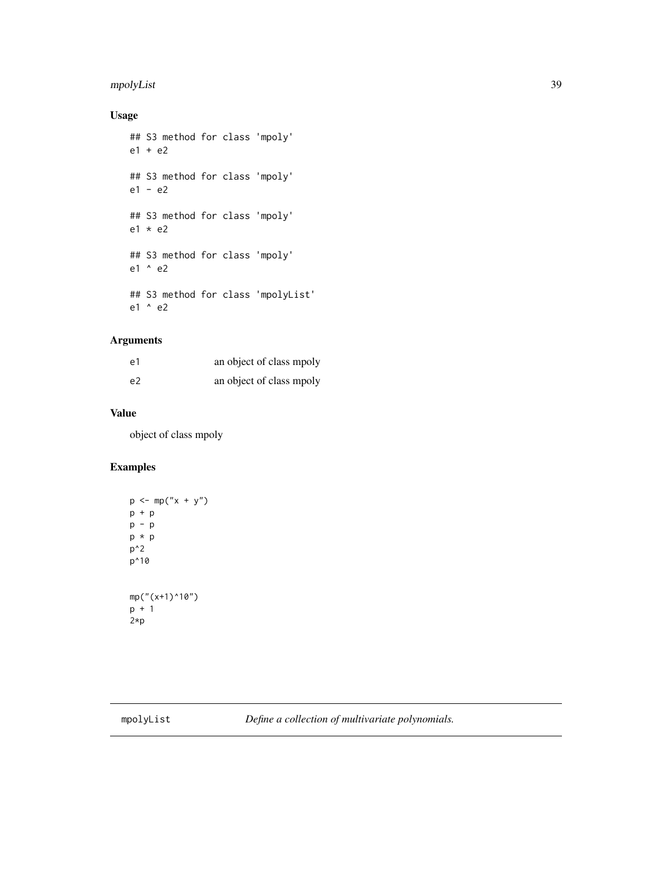# <span id="page-38-0"></span>mpolyList 39

# Usage

```
## S3 method for class 'mpoly'
e1 + e2
## S3 method for class 'mpoly'
e1 - e2
## S3 method for class 'mpoly'
e1 * e2
## S3 method for class 'mpoly'
e1 ^ e2
## S3 method for class 'mpolyList'
e1 ^ e2
```
# Arguments

| e1             | an object of class mpoly |
|----------------|--------------------------|
| e <sub>2</sub> | an object of class mpoly |

# Value

object of class mpoly

```
p \le m(p''x + y'')p + p
p - p
p * p
p^2
p^10
mp("x+1)^10")p + 1
2*p
```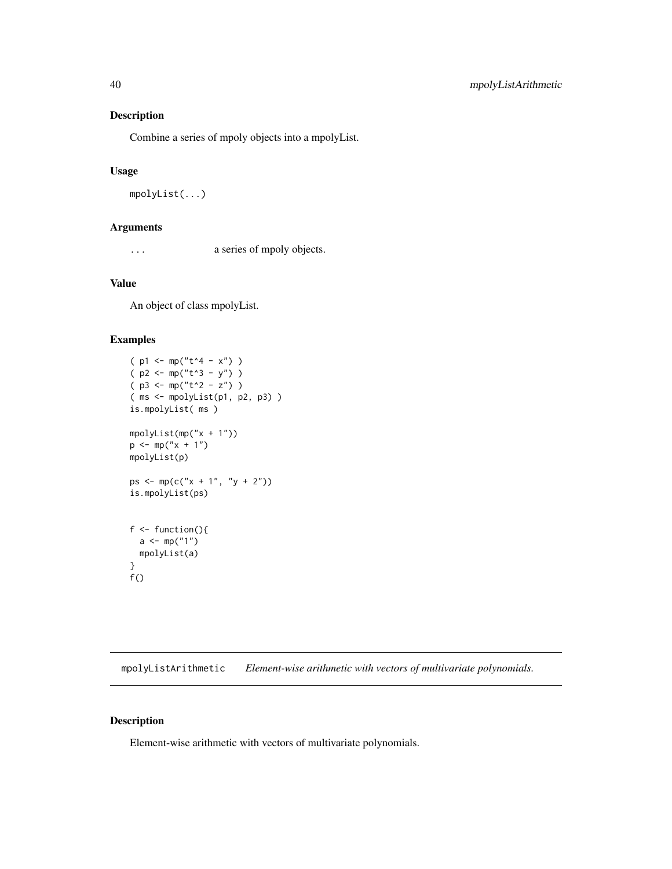#### Description

Combine a series of mpoly objects into a mpolyList.

#### Usage

```
mpolyList(...)
```
#### Arguments

... a series of mpoly objects.

# Value

An object of class mpolyList.

#### Examples

```
(p1 < - mp("t^4 - x") )(p2 < - mp("t^3 - y") )(p3 \le mp("t^2 - z") )( ms <- mpolyList(p1, p2, p3) )
is.mpolyList( ms )
mpolyList(mp("x + 1"))
p \le m p("x + 1")mpolyList(p)
ps <- mp(c("x + 1", "y + 2"))is.mpolyList(ps)
f \leftarrow function()a \leq m(p("1")mpolyList(a)
}
f()
```
mpolyListArithmetic *Element-wise arithmetic with vectors of multivariate polynomials.*

#### Description

Element-wise arithmetic with vectors of multivariate polynomials.

<span id="page-39-0"></span>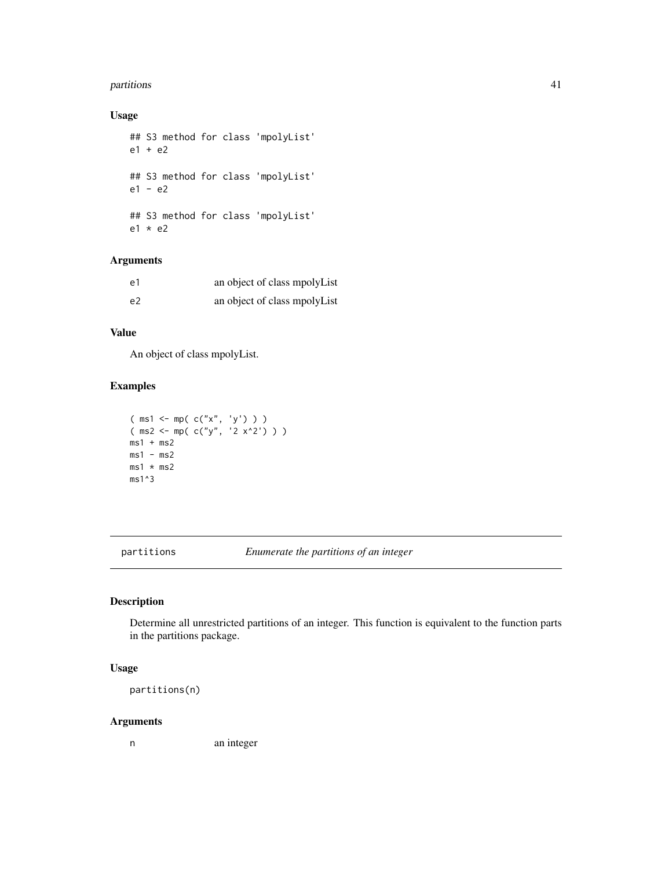#### <span id="page-40-0"></span>partitions and the contract of the contract of the contract of the contract of the contract of the contract of the contract of the contract of the contract of the contract of the contract of the contract of the contract of

# Usage

## S3 method for class 'mpolyList' e1 + e2 ## S3 method for class 'mpolyList' e1 - e2 ## S3 method for class 'mpolyList' e1 \* e2

# Arguments

| e1 | an object of class mpolyList |
|----|------------------------------|
| e2 | an object of class mpolyList |

# Value

An object of class mpolyList.

# Examples

```
( ms1 <- mp( c("x", 'y') ) )
( ms2 <- mp( c("y", '2 x^2') ) )
ms1 + ms2ms1 - ms2ms1 * ms2ms1^3
```
partitions *Enumerate the partitions of an integer*

# Description

Determine all unrestricted partitions of an integer. This function is equivalent to the function parts in the partitions package.

#### Usage

partitions(n)

#### Arguments

n an integer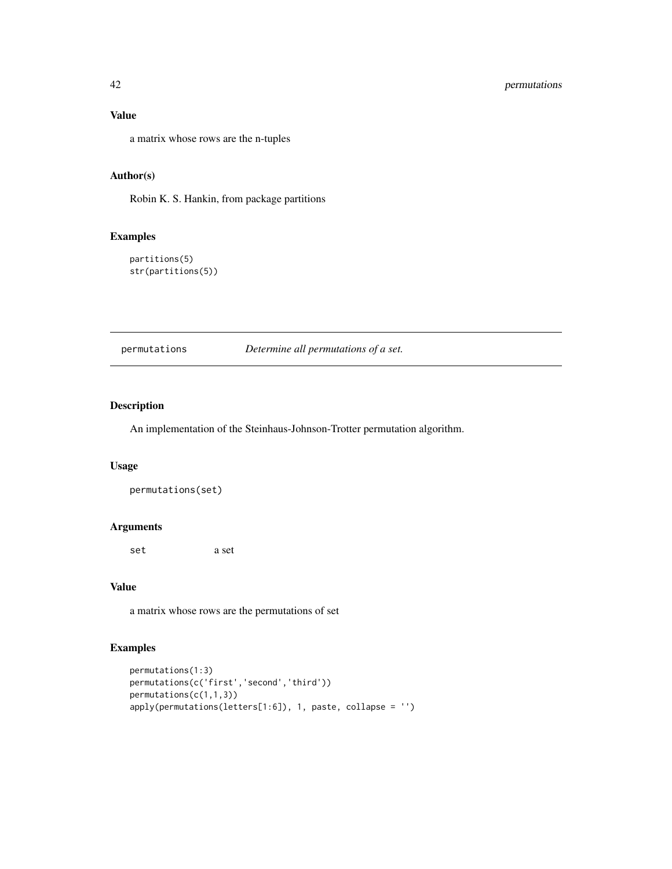#### Value

a matrix whose rows are the n-tuples

#### Author(s)

Robin K. S. Hankin, from package partitions

#### Examples

partitions(5) str(partitions(5))

permutations *Determine all permutations of a set.*

#### Description

An implementation of the Steinhaus-Johnson-Trotter permutation algorithm.

#### Usage

permutations(set)

#### Arguments

set a set

# Value

a matrix whose rows are the permutations of set

```
permutations(1:3)
permutations(c('first','second','third'))
permutations(c(1,1,3))
apply(permutations(letters[1:6]), 1, paste, collapse = '')
```
<span id="page-41-0"></span>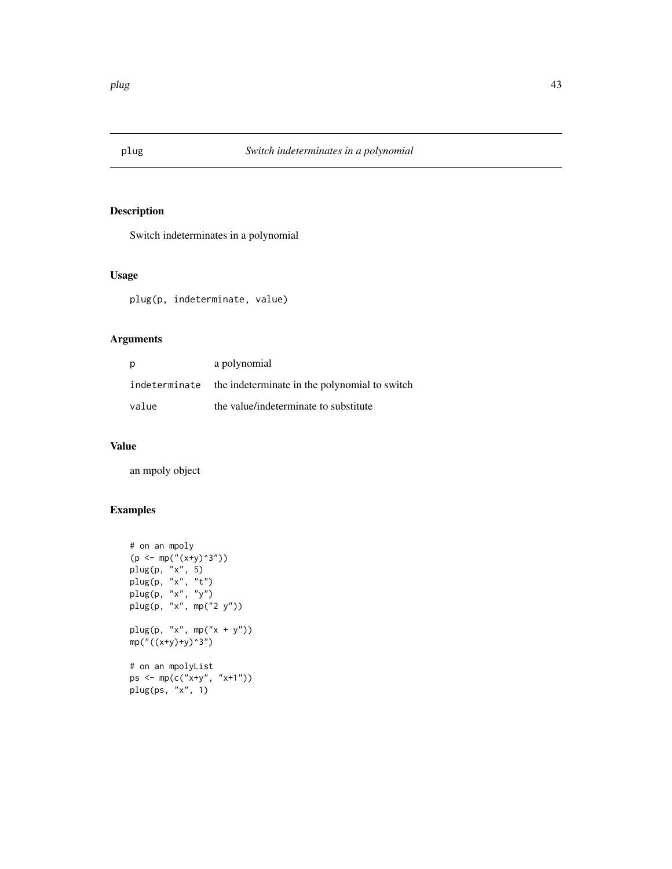<span id="page-42-1"></span><span id="page-42-0"></span>

# Description

Switch indeterminates in a polynomial

# Usage

plug(p, indeterminate, value)

# Arguments

| p     | a polynomial                                                |
|-------|-------------------------------------------------------------|
|       | indeterminate the indeterminate in the polynomial to switch |
| value | the value/indeterminate to substitute                       |

#### Value

an mpoly object

```
# on an mpoly
(p <- mp("(x+y)^3"))
plug(p, "x", 5)
plug(p, "x", "t")
plug(p, "x", "y")
plug(p, "x", mp("2 y"))
plug(p, "x", mp("x + y"))mp("((x+y)+y)^3")
# on an mpolyList
ps <- mp(c("x+y", "x+1"))
plug(ps, "x", 1)
```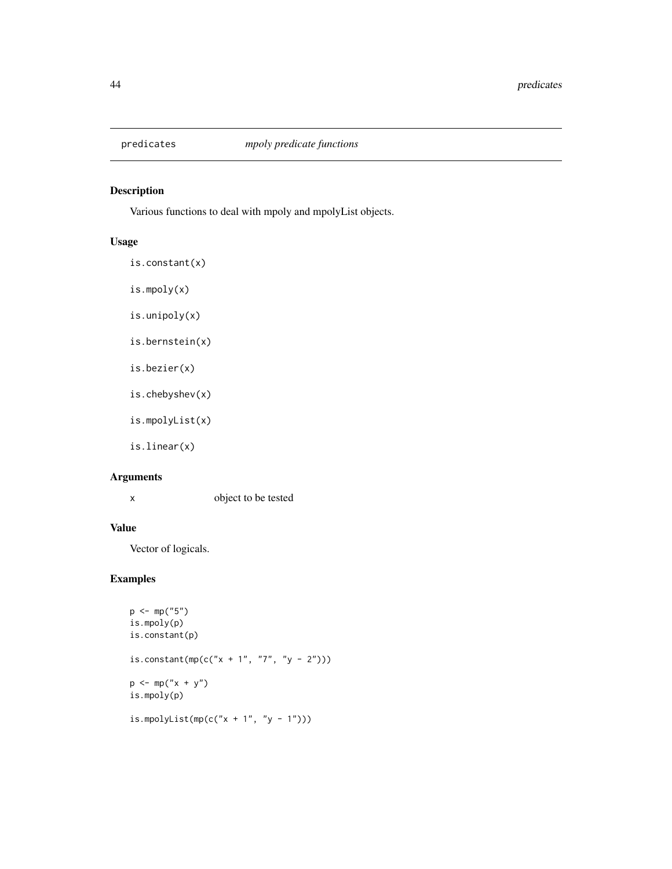<span id="page-43-0"></span>

# Description

Various functions to deal with mpoly and mpolyList objects.

# Usage

is.constant(x)

- is.mpoly(x)
- is.unipoly(x)
- is.bernstein(x)
- is.bezier(x)
- is.chebyshev(x)
- is.mpolyList(x)

is.linear(x)

# Arguments

x object to be tested

#### Value

Vector of logicals.

```
p \leq -mp("5")is.mpoly(p)
is.constant(p)
is.constant(mp(c("x + 1", "7", "y - 2")))
p \le m p("x + y")is.mpoly(p)
is.mpolyList(mp(c("x + 1", "y - 1")))
```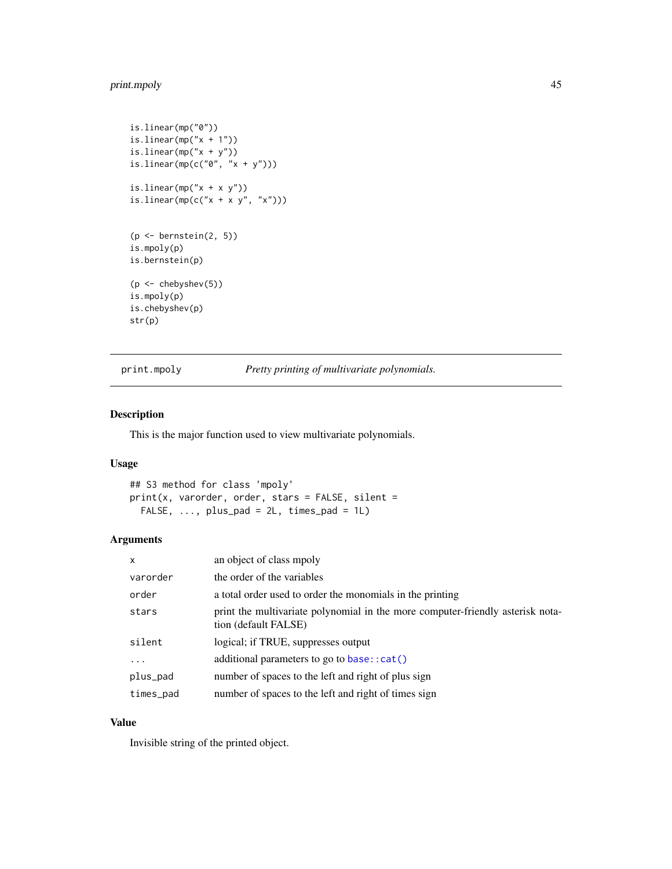# <span id="page-44-0"></span>print.mpoly 45

```
is.linear(mp("0"))
is.linear(mp("x + 1"))
is.linear(mp("x + y"))
is.linear(mp(c("0", "x + y")))
is.linear(mp("x + x y"))
is.linear(mp(c("x + x y", "x")))
(p \leftarrow bernstein(2, 5))
is.mpoly(p)
is.bernstein(p)
(p <- chebyshev(5))
is.mpoly(p)
is.chebyshev(p)
str(p)
```
print.mpoly *Pretty printing of multivariate polynomials.*

#### Description

This is the major function used to view multivariate polynomials.

# Usage

```
## S3 method for class 'mpoly'
print(x, varorder, order, stars = FALSE, silent =
 FALSE, \ldots, plus_pad = 2L, times_pad = 1L)
```
#### Arguments

| x         | an object of class mpoly                                                                               |
|-----------|--------------------------------------------------------------------------------------------------------|
| varorder  | the order of the variables                                                                             |
| order     | a total order used to order the monomials in the printing                                              |
| stars     | print the multivariate polynomial in the more computer-friendly asterisk nota-<br>tion (default FALSE) |
| silent    | logical; if TRUE, suppresses output                                                                    |
| $\cdots$  | additional parameters to go to base::cat()                                                             |
| plus_pad  | number of spaces to the left and right of plus sign                                                    |
| times_pad | number of spaces to the left and right of times sign                                                   |

#### Value

Invisible string of the printed object.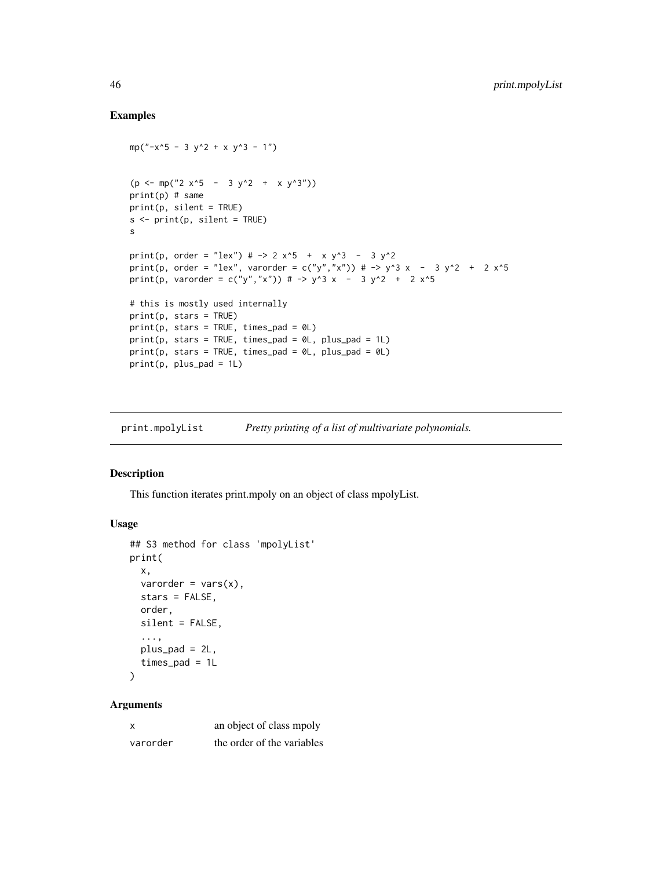#### Examples

```
mp("-x^5 - 3 y^2 + x y^3 - 1")(p \le m p("2 x^5 - 3 y^2 + x y^3))print(p) # same
print(p, silent = TRUE)
s <- print(p, silent = TRUE)
s
print(p, order = "lex") # \rightarrow 2 x^5 + x y^3 - 3 y^2
print(p, order = "lex", varorder = c("y","x")) # -> y^3 x - 3 y^2 + 2 x^5
print(p, varorder = c("y","x")) # -> y^3 x - 3 y^2 + 2 x^5
# this is mostly used internally
print(p, stars = TRUE)print(p, stars = TRUE, times\_pad = 0L)print(p, stars = TRUE, times\_pad = 0L, plus\_pad = 1L)print(p, stars = TRUE, times\_pad = 0L, plus\_pad = 0L)print(p, plus_pad = 1L)
```
print.mpolyList *Pretty printing of a list of multivariate polynomials.*

#### Description

This function iterates print.mpoly on an object of class mpolyList.

#### Usage

```
## S3 method for class 'mpolyList'
print(
 x,
  varorder = vars(x),
  stars = FALSE,
 order,
 silent = FALSE,
  ...,
 plus_pad = 2L,
  times_pad = 1L
)
```
#### Arguments

| x        | an object of class mpoly   |
|----------|----------------------------|
| varorder | the order of the variables |

<span id="page-45-0"></span>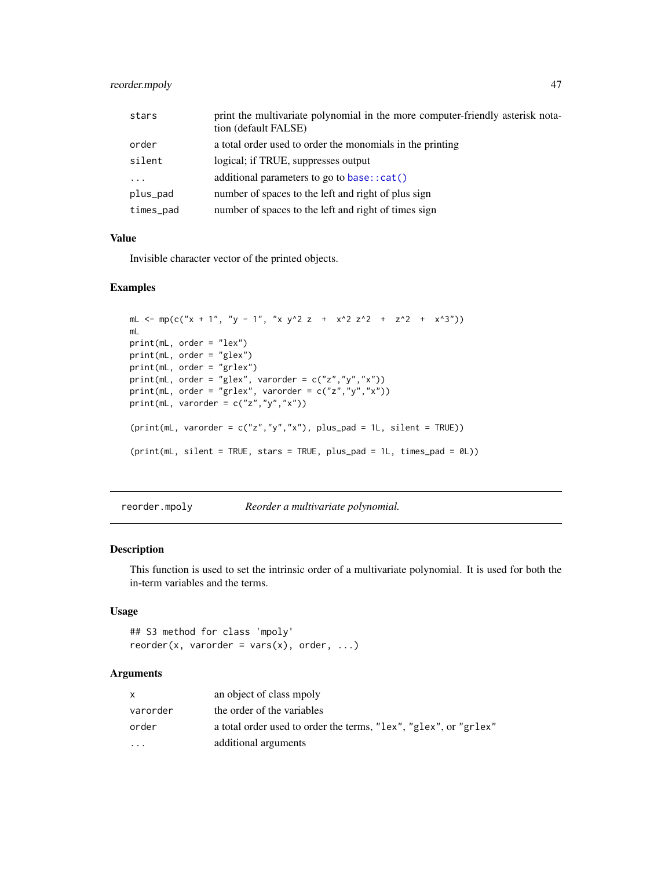# <span id="page-46-0"></span>reorder.mpoly 47

| stars     | print the multivariate polynomial in the more computer-friendly asterisk nota-<br>tion (default FALSE) |
|-----------|--------------------------------------------------------------------------------------------------------|
| order     | a total order used to order the monomials in the printing                                              |
| silent    | logical; if TRUE, suppresses output                                                                    |
| $\ddotsc$ | additional parameters to go to base: $:cat()$                                                          |
| plus_pad  | number of spaces to the left and right of plus sign                                                    |
| times_pad | number of spaces to the left and right of times sign                                                   |

# Value

Invisible character vector of the printed objects.

# Examples

```
mL <- mp(c("x + 1", "y - 1", "x y^2 z + x^2 z^2 + z^2 + x^3"))
mL
print(mL, order = "lex")
print(mL, order = "glex")
print(mL, order = "grlex")
print(mL, order = "glex", varorder = c("z","y","x"))
print(mL, order = "grlex", varorder = c("z", "y", "x"))
print(mL, varorder = c("z","y","x"))
(print(mL, varorder = c("z", "y", "x"), plus-pad = 1L, silent = TRUE))(print(mL, silent = TRUE, stars = TRUE, plus_pad = 1L, times_pad = 0L))
```
reorder.mpoly *Reorder a multivariate polynomial.*

#### Description

This function is used to set the intrinsic order of a multivariate polynomial. It is used for both the in-term variables and the terms.

#### Usage

```
## S3 method for class 'mpoly'
reorder(x, varorder = vars(x), order, \dots)
```
#### Arguments

| X        | an object of class mpoly                                         |
|----------|------------------------------------------------------------------|
| varorder | the order of the variables                                       |
| order    | a total order used to order the terms, "lex", "glex", or "grlex" |
| $\cdot$  | additional arguments                                             |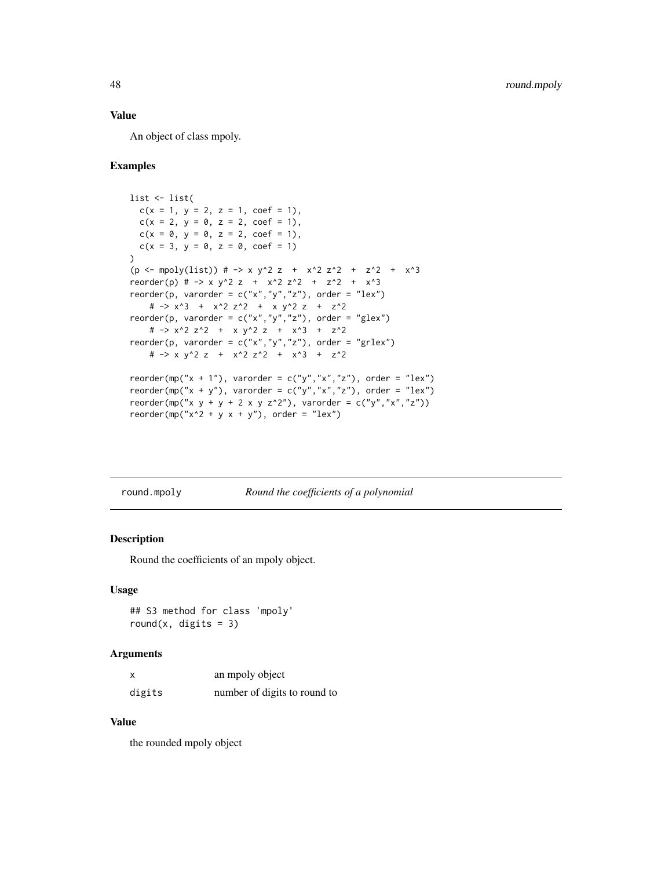# <span id="page-47-0"></span>Value

An object of class mpoly.

#### Examples

```
list <- list(
 c(x = 1, y = 2, z = 1, coef = 1),c(x = 2, y = 0, z = 2, coef = 1),c(x = 0, y = 0, z = 2, coef = 1),c(x = 3, y = 0, z = 0, coef = 1))
(p \leftarrow \text{mpoly}(list)) # -> x y^2 z + x^2 z^2 + z^2 + x^3
reorder(p) # -> x y^2 z + x^2 z^2 + z^2 + x^3
reorder(p, varorder = c("x", "y", "z"), order = "lex")
   # -> x^3 + x^2 z^2 + x y^2 z + z^2
reorder(p, varorder = c("x", "y", "z"), order = "glex")
   # -> x^2 z^2 + x y^2 z + x^3 + z^2
reorder(p, varorder = c("x","y","z"), order = "grlex")
   # -> x y^2 z + x^2 z^2 + x^3 + z^2reorder(mp("x + 1"), varorder = c("y", "x", "z"), order = "lex")
reorder(mp("x + y"), varorder = c("y","x","z"), order = "lex")
reorder(mp("x y + y + 2 x y z^2"), varorder = c("y","x","z"))
reorder(mp("x^2 + y x + y"), order = "lex")
```
<span id="page-47-1"></span>round.mpoly *Round the coefficients of a polynomial*

#### Description

Round the coefficients of an mpoly object.

#### Usage

## S3 method for class 'mpoly' round(x, digits =  $3$ )

#### Arguments

| X      | an mpoly object              |
|--------|------------------------------|
| digits | number of digits to round to |

#### Value

the rounded mpoly object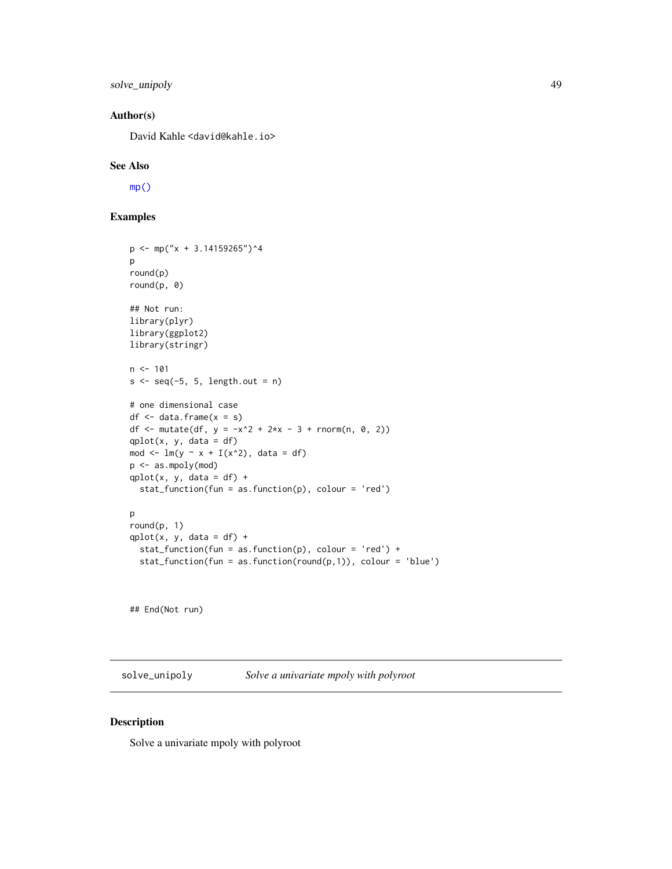<span id="page-48-0"></span>solve\_unipoly 49

#### Author(s)

David Kahle <david@kahle.io>

#### See Also

[mp\(\)](#page-34-1)

# Examples

```
p \leftarrow mp("x + 3.14159265")^4p
round(p)
round(p, 0)
## Not run:
library(plyr)
library(ggplot2)
library(stringr)
n < -101s \leftarrow seq(-5, 5, length.out = n)# one dimensional case
df \leftarrow data-frame(x = s)df <- mutate(df, y = -x^2 + 2*x - 3 + \text{norm}(n, 0, 2))
qplot(x, y, data = df)mod \leq -\ln(y \sim x + I(x^2)), data = df)
p <- as.mpoly(mod)
qplot(x, y, data = df) +stat_function(fun = as.function(p), colour = 'red')
p
round(p, 1)
qplot(x, y, data = df) +stat_function(fun = as.function(p), colour = 'red') +
  stat_function(fun = as.function(round(p,1)), colour = 'blue')
```
## End(Not run)

solve\_unipoly *Solve a univariate mpoly with polyroot*

# Description

Solve a univariate mpoly with polyroot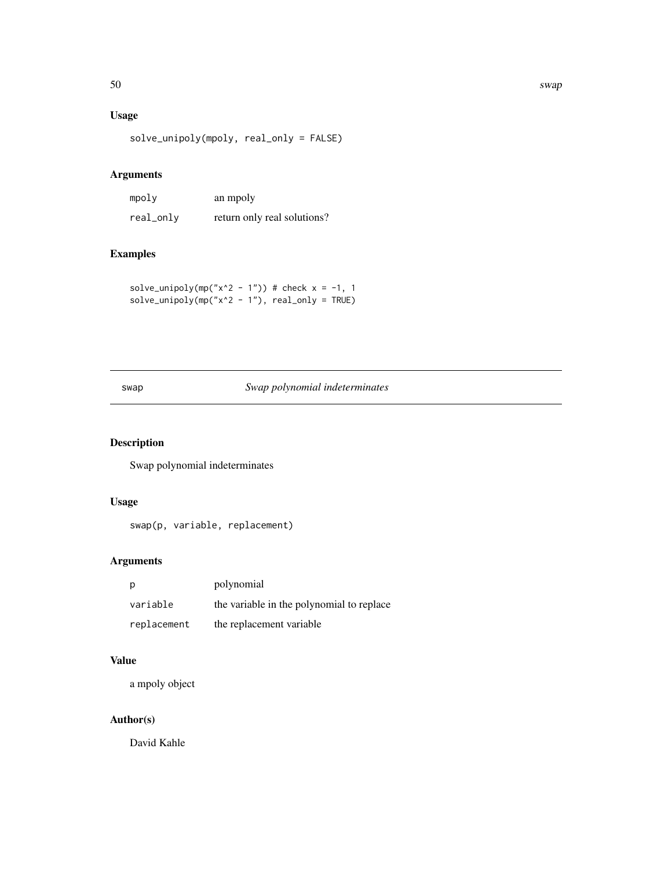# <span id="page-49-0"></span>Usage

solve\_unipoly(mpoly, real\_only = FALSE)

# Arguments

| mpoly     | an mpoly                    |
|-----------|-----------------------------|
| real_only | return only real solutions? |

# Examples

solve\_unipoly(mp("x^2 - 1")) # check  $x = -1$ , 1 solve\_unipoly(mp(" $x^2$  - 1"), real\_only = TRUE)

# swap *Swap polynomial indeterminates*

# Description

Swap polynomial indeterminates

#### Usage

swap(p, variable, replacement)

# Arguments

| p           | polynomial                                |
|-------------|-------------------------------------------|
| variable    | the variable in the polynomial to replace |
| replacement | the replacement variable                  |

#### Value

a mpoly object

# Author(s)

David Kahle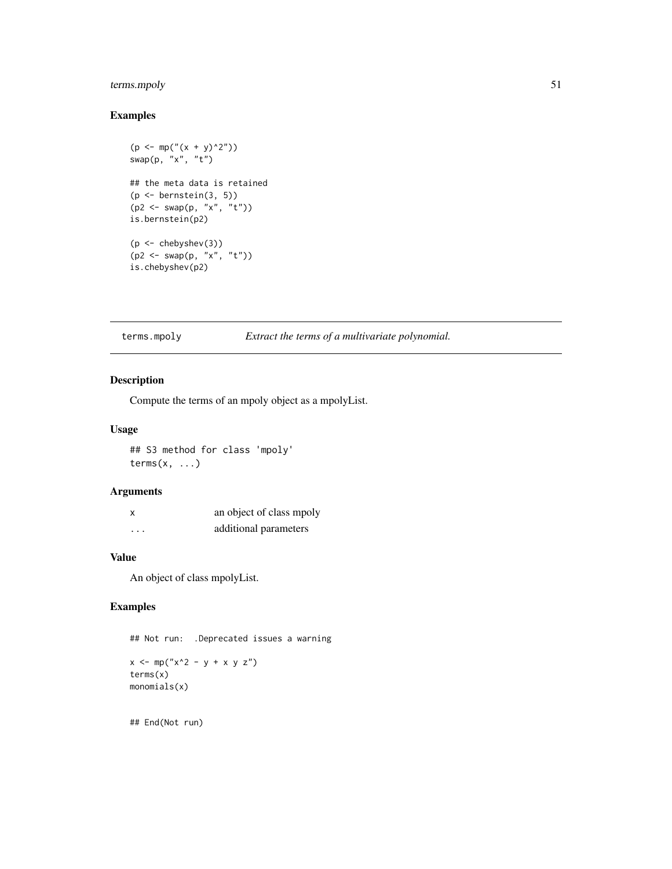# <span id="page-50-0"></span>terms.mpoly 51

# Examples

```
(p \le m p(" (x + y)^2")swap(p, "x", "t")## the meta data is retained
(p <- bernstein(3, 5))
(p2 <- swap(p, "x", "t"))
is.bernstein(p2)
(p <- chebyshev(3))
(p2 <- swap(p, "x", "t"))
is.chebyshev(p2)
```
# terms.mpoly *Extract the terms of a multivariate polynomial.*

# Description

Compute the terms of an mpoly object as a mpolyList.

#### Usage

## S3 method for class 'mpoly'  $terms(x, \ldots)$ 

#### Arguments

| x        | an object of class mpoly |
|----------|--------------------------|
| $\cdots$ | additional parameters    |

### Value

An object of class mpolyList.

# Examples

## Not run: .Deprecated issues a warning

 $x \le - \text{mp}("x^2 - y + x y z")$ terms(x) monomials(x)

## End(Not run)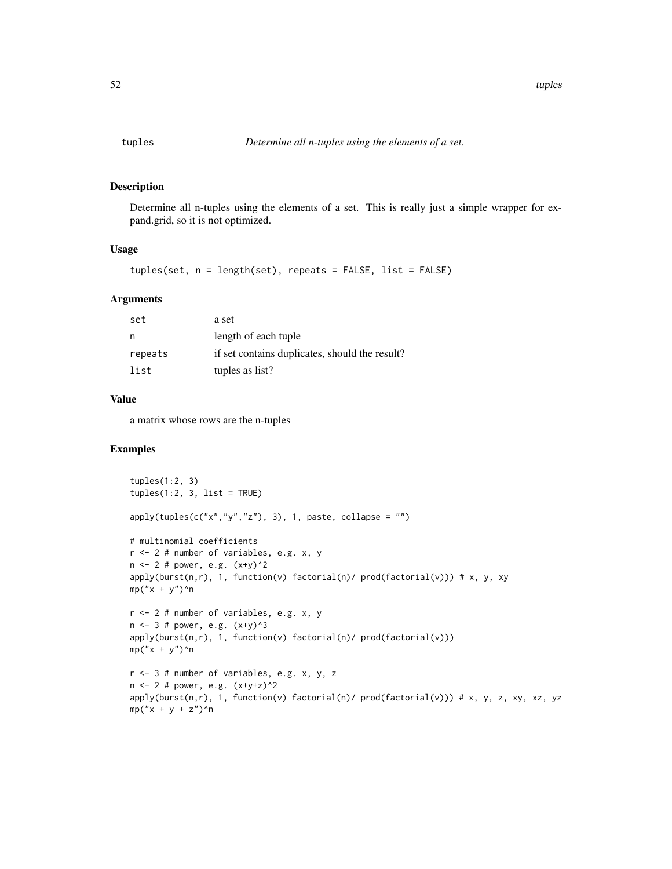<span id="page-51-0"></span>

# Description

Determine all n-tuples using the elements of a set. This is really just a simple wrapper for expand.grid, so it is not optimized.

#### Usage

tuples(set, n = length(set), repeats = FALSE, list = FALSE)

#### Arguments

| set     | a set                                          |
|---------|------------------------------------------------|
| n       | length of each tuple                           |
| repeats | if set contains duplicates, should the result? |
| list    | tuples as list?                                |

#### Value

a matrix whose rows are the n-tuples

```
tuples(1:2, 3)
tuples(1:2, 3, list = TRUE)
apply(tuples(c("x", "y", "z"), 3), 1, paste, collapse = "")# multinomial coefficients
r <- 2 # number of variables, e.g. x, y
n \le -2 # power, e.g. (x+y)^2apply(burst(n,r), 1, function(v) factorial(n)/ prod(factorial(v))) # x, y, xy
mp("x + y")^n
r <- 2 # number of variables, e.g. x, y
n \le -3 # power, e.g. (x+y)^3apply(burst(n,r), 1, function(v) factorial(n)/ prod(factorial(v)))
mp("x + y")^n
r <- 3 # number of variables, e.g. x, y, z
n <- 2 # power, e.g. (x+y+z)^2
apply(burst(n,r), 1, function(v) factorial(n) / prod(factual(v))) # x, y, z, xy, xz, yzmp("x + y + z")<sup>n</sup>
```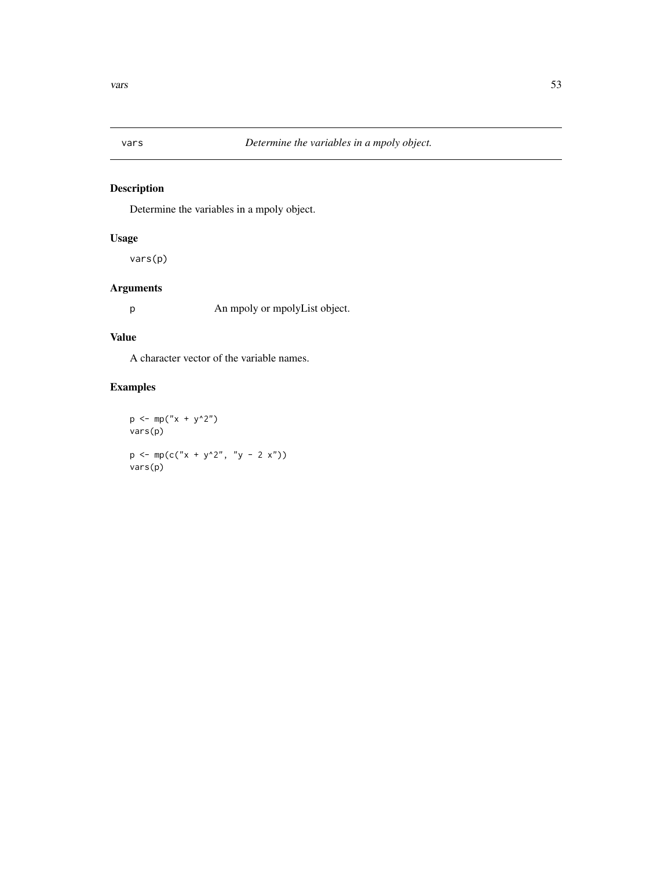<span id="page-52-0"></span>

# Description

Determine the variables in a mpoly object.

# Usage

vars(p)

# Arguments

p An mpoly or mpolyList object.

# Value

A character vector of the variable names.

# Examples

 $p \leftarrow mp("x + y^2")$ vars(p)  $p \leftarrow mp(c("x + y^2", "y - 2 x"))$ vars(p)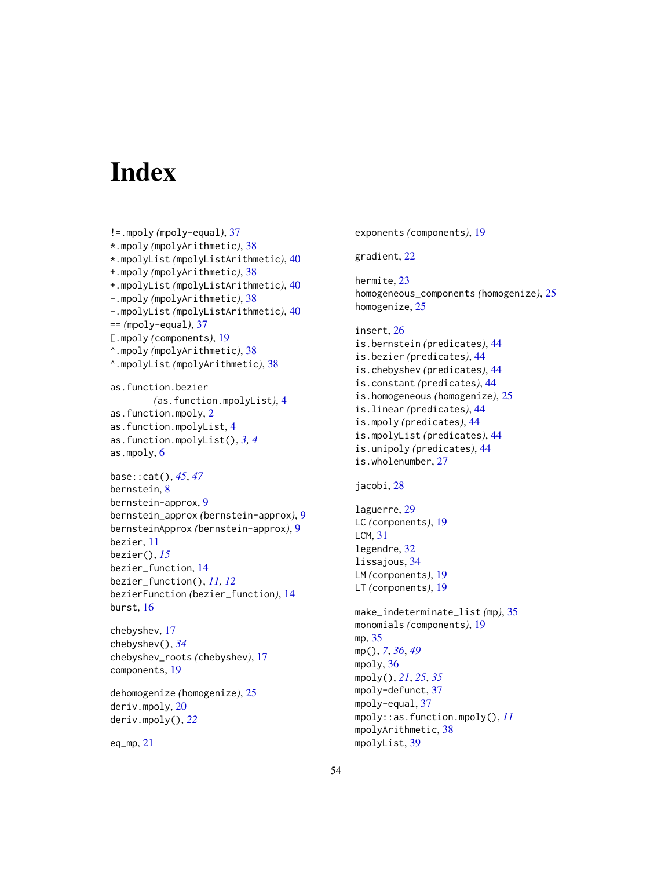# <span id="page-53-0"></span>**Index**

```
!=.mpoly (mpoly-equal), 37
*.mpoly (mpolyArithmetic), 38
*.mpolyList (mpolyListArithmetic), 40
+.mpoly (mpolyArithmetic), 38
+.mpolyList (mpolyListArithmetic), 40
-.mpoly (mpolyArithmetic), 38
-.mpolyList (mpolyListArithmetic), 40
== (mpoly-equal), 37
[.mpoly (components), 19
^.mpoly (mpolyArithmetic), 38
^.mpolyList (mpolyArithmetic), 38
as.function.bezier
        (as.function.mpolyList), 4
as.function.mpoly, 2
as.function.mpolyList, 4
as.function.mpolyList(), 3, 4
as.mpoly, 6
base::cat(), 45, 47
bernstein, 8
bernstein-approx, 9
bernstein_approx (bernstein-approx), 9
bernsteinApprox (bernstein-approx), 9
```
bezier, [11](#page-10-0) bezier(), *[15](#page-14-0)* bezier\_function, [14](#page-13-0) bezier\_function(), *[11,](#page-10-0) [12](#page-11-0)* bezierFunction *(*bezier\_function*)*, [14](#page-13-0) burst, [16](#page-15-0)

chebyshev, [17](#page-16-0) chebyshev(), *[34](#page-33-0)* chebyshev\_roots *(*chebyshev*)*, [17](#page-16-0) components, [19](#page-18-0)

dehomogenize *(*homogenize*)*, [25](#page-24-0) deriv.mpoly, [20](#page-19-0) deriv.mpoly(), *[22](#page-21-0)*

eq\_mp, [21](#page-20-0)

exponents *(*components*)*, [19](#page-18-0)

gradient, [22](#page-21-0)

hermite, [23](#page-22-0) homogeneous\_components *(*homogenize*)*, [25](#page-24-0) homogenize, [25](#page-24-0)

```
insert, 26
is.bernstein (predicates), 44
is.bezier (predicates), 44
is.chebyshev (predicates), 44
is.constant (predicates), 44
is.homogeneous (homogenize), 25
is.linear (predicates), 44
is.mpoly (predicates), 44
is.mpolyList (predicates), 44
is.unipoly (predicates), 44
is.wholenumber, 27
```

```
jacobi, 28
```

```
laguerre, 29
LC (components), 19
LCM, 31
legendre, 32
lissajous, 34
LM (components), 19
LT (components), 19
```
make\_indeterminate\_list *(*mp*)*, [35](#page-34-0) monomials *(*components*)*, [19](#page-18-0) mp, [35](#page-34-0) mp(), *[7](#page-6-0)*, *[36](#page-35-0)*, *[49](#page-48-0)* mpoly, [36](#page-35-0) mpoly(), *[21](#page-20-0)*, *[25](#page-24-0)*, *[35](#page-34-0)* mpoly-defunct, [37](#page-36-0) mpoly-equal, [37](#page-36-0) mpoly::as.function.mpoly(), *[11](#page-10-0)* mpolyArithmetic, [38](#page-37-0) mpolyList, [39](#page-38-0)